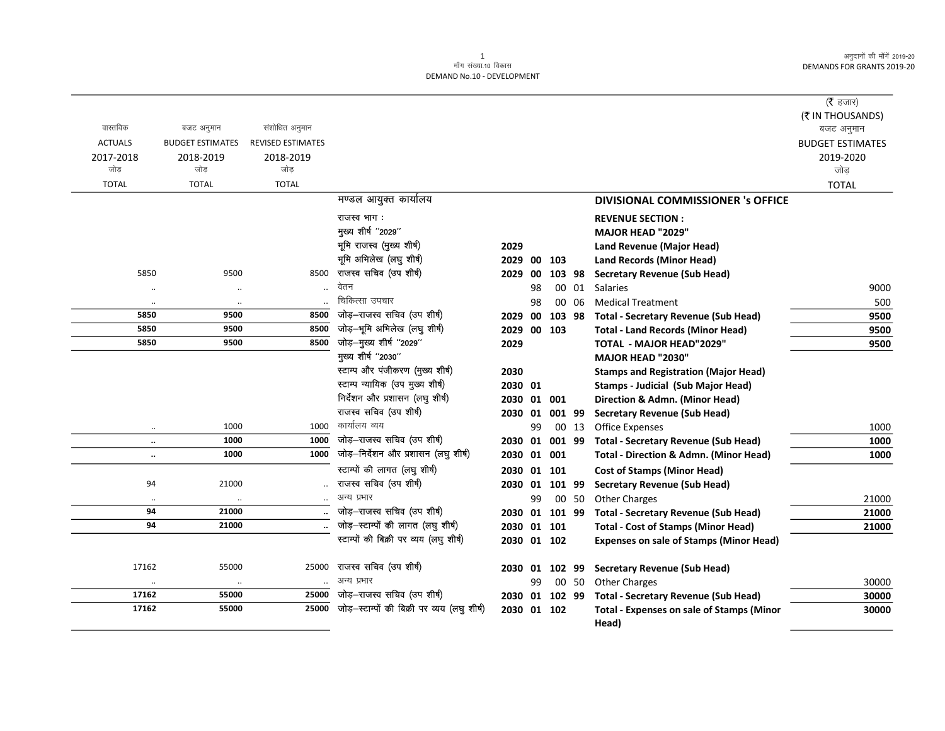### 1 ek¡x l a[;k-10 fodkl DEMAND No.10 - DEVELOPMENT

|                      |                         |                          |                                                                               |                |    |        |       |                                                   | ( $\bar{\tau}$ हजार)           |
|----------------------|-------------------------|--------------------------|-------------------------------------------------------------------------------|----------------|----|--------|-------|---------------------------------------------------|--------------------------------|
| वास्तविक             | बजट अनुमान              | संशोधित अनुमान           |                                                                               |                |    |        |       |                                                   | (₹ IN THOUSANDS)<br>बजट अनुमान |
| <b>ACTUALS</b>       | <b>BUDGET ESTIMATES</b> | <b>REVISED ESTIMATES</b> |                                                                               |                |    |        |       |                                                   | <b>BUDGET ESTIMATES</b>        |
| 2017-2018            | 2018-2019               | 2018-2019                |                                                                               |                |    |        |       |                                                   | 2019-2020                      |
| जोड़                 | जोड़                    | जोड़                     |                                                                               |                |    |        |       |                                                   | जोड़                           |
| <b>TOTAL</b>         | <b>TOTAL</b>            | <b>TOTAL</b>             |                                                                               |                |    |        |       |                                                   | <b>TOTAL</b>                   |
|                      |                         |                          | मण्डल आयुक्त कार्यालय                                                         |                |    |        |       | <b>DIVISIONAL COMMISSIONER 's OFFICE</b>          |                                |
|                      |                         |                          | राजस्व भाग:                                                                   |                |    |        |       | <b>REVENUE SECTION:</b>                           |                                |
|                      |                         |                          | मुख्य शीर्ष "2029"                                                            |                |    |        |       | <b>MAJOR HEAD "2029"</b>                          |                                |
|                      |                         |                          | भूमि राजस्व (मुख्य शीर्ष)                                                     | 2029           |    |        |       | <b>Land Revenue (Major Head)</b>                  |                                |
|                      |                         |                          | भूमि अभिलेख (लघु शीर्ष)                                                       | 2029 00 103    |    |        |       | <b>Land Records (Minor Head)</b>                  |                                |
| 5850                 | 9500                    | 8500                     | राजस्व सचिव (उप शीर्ष)                                                        | 2029 00        |    | 103 98 |       | <b>Secretary Revenue (Sub Head)</b>               |                                |
| $\ddot{\phantom{0}}$ | $\ddotsc$               |                          | वेतन                                                                          |                | 98 |        | 00 01 | <b>Salaries</b>                                   | 9000                           |
| $\ddot{\phantom{0}}$ | $\ddotsc$               |                          | चिकित्सा उपचार                                                                |                | 98 |        | 00 06 | <b>Medical Treatment</b>                          | 500                            |
| 5850                 | 9500                    | 8500                     | जोड़-राजस्व सचिव (उप शीर्ष)                                                   | 2029 00        |    | 103 98 |       | <b>Total - Secretary Revenue (Sub Head)</b>       | 9500                           |
| 5850                 | 9500                    | 8500                     | जोड़-भूमि अभिलेख (लघु शीर्ष)                                                  | 2029 00 103    |    |        |       | <b>Total - Land Records (Minor Head)</b>          | 9500                           |
| 5850                 | 9500                    | 8500                     | जोड़-मुख्य शीर्ष "2029"                                                       | 2029           |    |        |       | <b>TOTAL - MAJOR HEAD"2029"</b>                   | 9500                           |
|                      |                         |                          | मुख्य शीर्ष "2030"                                                            |                |    |        |       | MAJOR HEAD "2030"                                 |                                |
|                      |                         |                          | स्टाम्प और पंजीकरण (मुख्य शीर्ष)                                              | 2030           |    |        |       | <b>Stamps and Registration (Major Head)</b>       |                                |
|                      |                         |                          | स्टाम्प न्यायिक (उप मुख्य शीर्ष)                                              | 2030 01        |    |        |       | <b>Stamps - Judicial (Sub Major Head)</b>         |                                |
|                      |                         |                          | निर्देशन और प्रशासन (लघु शीर्ष)                                               | 2030 01 001    |    |        |       | Direction & Admn. (Minor Head)                    |                                |
|                      |                         |                          | राजस्व सचिव (उप शीर्ष)                                                        | 2030 01 001 99 |    |        |       | <b>Secretary Revenue (Sub Head)</b>               |                                |
| $\ddot{\phantom{0}}$ | 1000                    | 1000                     | कार्यालय व्यय                                                                 |                | 99 |        | 00 13 | <b>Office Expenses</b>                            | 1000                           |
| $\ddotsc$            | 1000                    | 1000                     | जोड़-राजस्व सचिव (उप शीर्ष)                                                   | 2030 01 001 99 |    |        |       | <b>Total - Secretary Revenue (Sub Head)</b>       | 1000                           |
| $\ddotsc$            | 1000                    | 1000                     | जोड़-निर्देशन और प्रशासन (लघु शीर्ष)                                          | 2030 01 001    |    |        |       | <b>Total - Direction &amp; Admn. (Minor Head)</b> | 1000                           |
|                      |                         |                          | स्टाम्पों की लागत (लघु शीर्ष)                                                 | 2030 01 101    |    |        |       | <b>Cost of Stamps (Minor Head)</b>                |                                |
| 94                   | 21000                   |                          | राजस्व सचिव (उप शीर्ष)                                                        | 2030 01 101 99 |    |        |       | <b>Secretary Revenue (Sub Head)</b>               |                                |
| $\ddot{\phantom{0}}$ | $\cdot$ .               |                          | अन्य प्रभार                                                                   |                | 99 |        | 00 50 | <b>Other Charges</b>                              | 21000                          |
| 94                   | 21000                   |                          | जोड़-राजस्व सचिव (उप शीर्ष)                                                   | 2030 01 101 99 |    |        |       | <b>Total - Secretary Revenue (Sub Head)</b>       | 21000                          |
| 94                   | 21000                   |                          | जोड़-स्टाम्पों की लागत (लघु शीर्ष)<br>स्टाम्पों की बिक्री पर व्यय (लघु शीर्ष) | 2030 01 101    |    |        |       | <b>Total - Cost of Stamps (Minor Head)</b>        | 21000                          |
|                      |                         |                          |                                                                               | 2030 01 102    |    |        |       | <b>Expenses on sale of Stamps (Minor Head)</b>    |                                |
| 17162                | 55000                   | 25000                    | राजस्व सचिव (उप शीर्ष)                                                        | 2030 01 102 99 |    |        |       | <b>Secretary Revenue (Sub Head)</b>               |                                |
|                      | $\ldots$                |                          | अन्य प्रभार                                                                   |                | 99 |        | 00 50 | <b>Other Charges</b>                              | 30000                          |
| 17162                | 55000                   | 25000                    | जोड़-राजस्व सचिव (उप शीर्ष)                                                   | 2030 01 102 99 |    |        |       | <b>Total - Secretary Revenue (Sub Head)</b>       | 30000                          |
| 17162                | 55000                   | 25000                    | जोड़-स्टाम्पों की बिक्री पर व्यय (लघु शीर्ष)                                  | 2030 01 102    |    |        |       | <b>Total - Expenses on sale of Stamps (Minor</b>  | 30000                          |
|                      |                         |                          |                                                                               |                |    |        |       | Head)                                             |                                |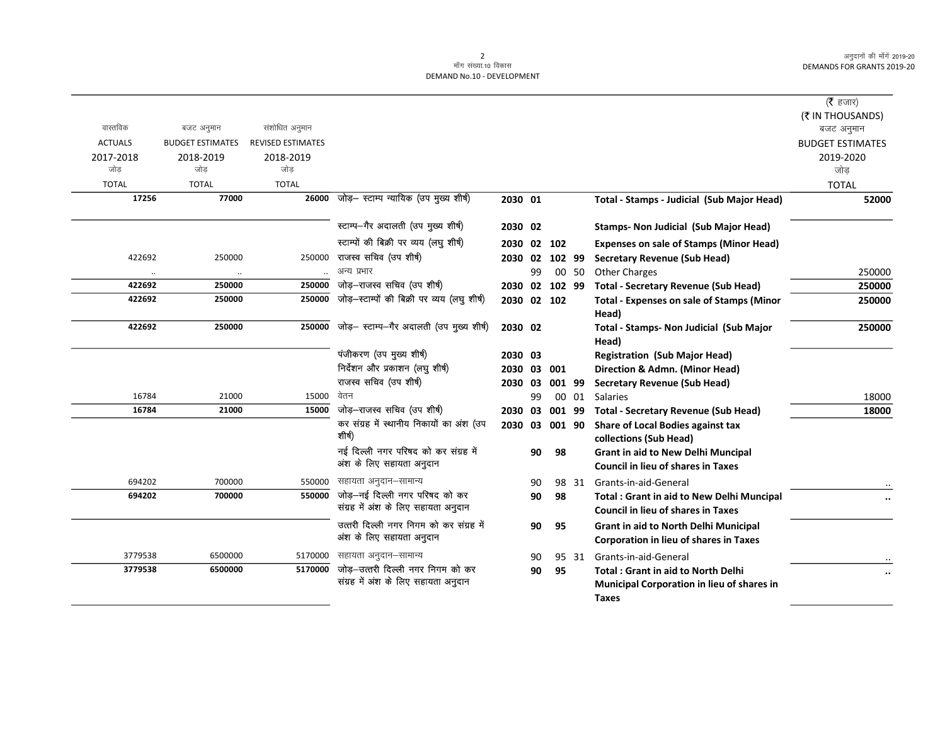|                |                         |                          |                                              |                |    |        |       |                                                           | (रै हजार)               |
|----------------|-------------------------|--------------------------|----------------------------------------------|----------------|----|--------|-------|-----------------------------------------------------------|-------------------------|
|                |                         |                          |                                              |                |    |        |       |                                                           | (そ IN THOUSANDS)        |
| वास्तविक       | बजट अनुमान              | संशोधित अनुमान           |                                              |                |    |        |       |                                                           | बजट अनुमान              |
| <b>ACTUALS</b> | <b>BUDGET ESTIMATES</b> | <b>REVISED ESTIMATES</b> |                                              |                |    |        |       |                                                           | <b>BUDGET ESTIMATES</b> |
| 2017-2018      | 2018-2019               | 2018-2019                |                                              |                |    |        |       |                                                           | 2019-2020               |
| जोड            | जोड                     | जोड                      |                                              |                |    |        |       |                                                           | जोड़                    |
| <b>TOTAL</b>   | <b>TOTAL</b>            | <b>TOTAL</b>             |                                              |                |    |        |       |                                                           | <b>TOTAL</b>            |
| 17256          | 77000                   |                          | 26000 जोड़- स्टाम्प न्यायिक (उप मुख्य शीर्ष) | 2030 01        |    |        |       | Total - Stamps - Judicial (Sub Major Head)                | 52000                   |
|                |                         |                          | स्टाम्प-गैर अदालती (उप मुख्य शीर्ष)          | 2030 02        |    |        |       | <b>Stamps- Non Judicial (Sub Major Head)</b>              |                         |
|                |                         |                          | स्टाम्पों की बिक्री पर व्यय (लघु शीर्ष)      | 2030 02 102    |    |        |       | <b>Expenses on sale of Stamps (Minor Head)</b>            |                         |
| 422692         | 250000                  | 250000                   | राजस्व सचिव (उप शीर्ष)                       | 2030 02 102 99 |    |        |       | <b>Secretary Revenue (Sub Head)</b>                       |                         |
| $\ddotsc$      | $\cdot\cdot$            |                          | अन्य प्रभार                                  |                | 99 |        | 00 50 | <b>Other Charges</b>                                      | 250000                  |
| 422692         | 250000                  | 250000                   | जोड़-राजस्व सचिव (उप शीर्ष)                  | 2030 02 102 99 |    |        |       | <b>Total - Secretary Revenue (Sub Head)</b>               | 250000                  |
| 422692         | 250000                  | 250000                   | जोड़-स्टाम्पों की बिक्री पर व्यय (लघु शीर्ष) | 2030 02 102    |    |        |       | <b>Total - Expenses on sale of Stamps (Minor</b><br>Head) | 250000                  |
| 422692         | 250000                  | 250000                   | जोड़- स्टाम्प-गैर अदालती (उप मुख्य शीर्ष)    | 2030 02        |    |        |       | Total - Stamps- Non Judicial (Sub Major<br>Head)          | 250000                  |
|                |                         |                          | पंजीकरण (उप मुख्य शीर्ष)                     | 2030 03        |    |        |       | <b>Registration (Sub Major Head)</b>                      |                         |
|                |                         |                          | निर्देशन और प्रकाशन (लघु शीर्ष)              | 2030 03        |    | 001    |       | Direction & Admn. (Minor Head)                            |                         |
|                |                         |                          | राजस्व सचिव (उप शीर्ष)                       | 2030 03        |    | 001 99 |       | <b>Secretary Revenue (Sub Head)</b>                       |                         |
| 16784          | 21000                   | 15000                    | वेतन                                         |                | 99 |        | 00 01 | Salaries                                                  | 18000                   |
| 16784          | 21000                   | 15000                    | जोड़-राजस्व सचिव (उप शीर्ष)                  | 2030 03        |    | 001 99 |       | <b>Total - Secretary Revenue (Sub Head)</b>               | 18000                   |
|                |                         |                          | कर संग्रह में स्थानीय निकायों का अंश (उप     | 2030 03 001 90 |    |        |       | Share of Local Bodies against tax                         |                         |
|                |                         |                          | शीर्ष)                                       |                |    |        |       | collections (Sub Head)                                    |                         |
|                |                         |                          | नई दिल्ली नगर परिषद को कर संग्रह में         |                | 90 | 98     |       | <b>Grant in aid to New Delhi Muncipal</b>                 |                         |
|                |                         |                          | अंश के लिए सहायता अनुदान                     |                |    |        |       | <b>Council in lieu of shares in Taxes</b>                 |                         |
| 694202         | 700000                  | 550000                   | सहायता अनुदान–सामान्य                        |                | 90 |        | 98 31 | Grants-in-aid-General                                     |                         |
| 694202         | 700000                  |                          | $550000$ जोड़-नई दिल्ली नगर परिषद को कर      |                | 90 | 98     |       | <b>Total: Grant in aid to New Delhi Muncipal</b>          |                         |
|                |                         |                          | संग्रह में अंश के लिए सहायता अनुदान          |                |    |        |       | <b>Council in lieu of shares in Taxes</b>                 |                         |
|                |                         |                          | उत्तरी दिल्ली नगर निगम को कर संग्रह में      |                | 90 | 95     |       | Grant in aid to North Delhi Municipal                     |                         |
|                |                         |                          | अंश के लिए सहायता अनुदान                     |                |    |        |       | Corporation in lieu of shares in Taxes                    |                         |
| 3779538        | 6500000                 | 5170000                  | सहायता अनुदान–सामान्य                        |                | 90 |        | 95 31 | Grants-in-aid-General                                     |                         |
| 3779538        | 6500000                 | 5170000                  | जोड़-उत्तरी दिल्ली नगर निगम को कर            |                | 90 | 95     |       | <b>Total: Grant in aid to North Delhi</b>                 |                         |
|                |                         |                          | संग्रह में अंश के लिए सहायता अनुदान          |                |    |        |       | <b>Municipal Corporation in lieu of shares in</b>         |                         |
|                |                         |                          |                                              |                |    |        |       | <b>Taxes</b>                                              |                         |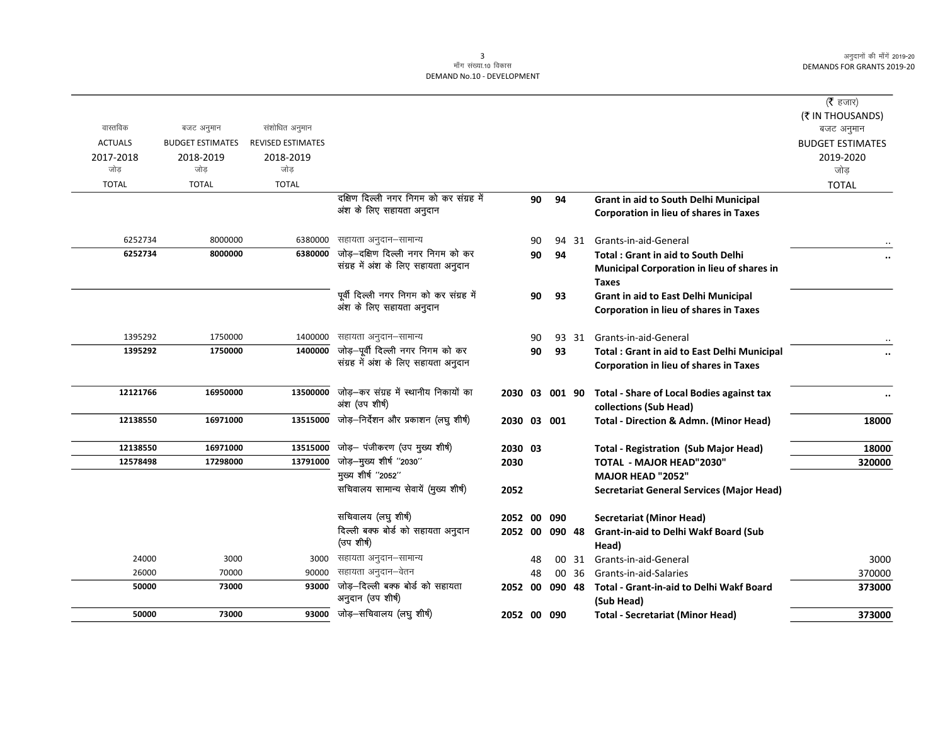| वास्तविक       | बजट अनुमान              | संशोधित अनुमान           |                                                                          |                |    |        |       |                                                    | ( $\bar{\tau}$ हजार)<br>(₹ IN THOUSANDS)<br>बजट अनुमान |
|----------------|-------------------------|--------------------------|--------------------------------------------------------------------------|----------------|----|--------|-------|----------------------------------------------------|--------------------------------------------------------|
| <b>ACTUALS</b> | <b>BUDGET ESTIMATES</b> | <b>REVISED ESTIMATES</b> |                                                                          |                |    |        |       |                                                    | <b>BUDGET ESTIMATES</b>                                |
| 2017-2018      | 2018-2019               | 2018-2019                |                                                                          |                |    |        |       |                                                    | 2019-2020                                              |
| जोड            | जोड                     | जोड                      |                                                                          |                |    |        |       |                                                    | जोड़                                                   |
| <b>TOTAL</b>   | <b>TOTAL</b>            | <b>TOTAL</b>             |                                                                          |                |    |        |       |                                                    | <b>TOTAL</b>                                           |
|                |                         |                          | दक्षिण दिल्ली नगर निगम को कर संग्रह में                                  |                | 90 | 94     |       | Grant in aid to South Delhi Municipal              |                                                        |
|                |                         |                          | अंश के लिए सहायता अनुदान                                                 |                |    |        |       | Corporation in lieu of shares in Taxes             |                                                        |
|                |                         |                          |                                                                          |                |    |        |       |                                                    |                                                        |
| 6252734        | 8000000                 | 6380000                  | सहायता अनुदान–सामान्य                                                    |                | 90 |        |       | 94 31 Grants-in-aid-General                        |                                                        |
| 6252734        | 8000000                 | 6380000                  | जोड़-दक्षिण दिल्ली नगर निगम को कर                                        |                | 90 | 94     |       | <b>Total: Grant in aid to South Delhi</b>          |                                                        |
|                |                         |                          | संग्रह में अंश के लिए सहायता अनुदान                                      |                |    |        |       | Municipal Corporation in lieu of shares in         |                                                        |
|                |                         |                          |                                                                          |                |    |        |       | Taxes                                              |                                                        |
|                |                         |                          | पूर्वी दिल्ली नगर निगम को कर संग्रह में                                  |                | 90 | 93     |       | Grant in aid to East Delhi Municipal               |                                                        |
|                |                         |                          | अंश के लिए सहायता अनुदान                                                 |                |    |        |       | <b>Corporation in lieu of shares in Taxes</b>      |                                                        |
|                |                         |                          |                                                                          |                |    |        |       |                                                    |                                                        |
| 1395292        | 1750000                 | 1400000                  | सहायता अनुदान–सामान्य                                                    |                | 90 |        |       | 93 31 Grants-in-aid-General                        |                                                        |
| 1395292        | 1750000                 | 1400000                  | जोड़-पूर्वी दिल्ली नगर निगम को कर<br>संग्रह में अंश के लिए सहायता अनुदान |                | 90 | 93     |       | <b>Total: Grant in aid to East Delhi Municipal</b> | $\ddot{\phantom{0}}\phantom{0}\bullet$                 |
|                |                         |                          |                                                                          |                |    |        |       | Corporation in lieu of shares in Taxes             |                                                        |
| 12121766       | 16950000                | 13500000                 | जोड़-कर संग्रह में स्थानीय निकायों का                                    | 2030 03 001 90 |    |        |       | <b>Total - Share of Local Bodies against tax</b>   |                                                        |
|                |                         |                          | अंश (उप शीर्ष)                                                           |                |    |        |       | collections (Sub Head)                             |                                                        |
| 12138550       | 16971000                | 13515000                 | जोड़-निर्देशन और प्रकाशन (लघु शीर्ष)                                     | 2030 03 001    |    |        |       | <b>Total - Direction &amp; Admn. (Minor Head)</b>  | 18000                                                  |
|                |                         |                          |                                                                          |                |    |        |       |                                                    |                                                        |
| 12138550       | 16971000                | 13515000                 | जोड़- पंजीकरण (उप मुख्य शीर्ष)                                           | 2030 03        |    |        |       | <b>Total - Registration (Sub Major Head)</b>       | 18000                                                  |
| 12578498       | 17298000                | 13791000                 | जोड़-मुख्य शीर्ष "2030"                                                  | 2030           |    |        |       | <b>TOTAL - MAJOR HEAD"2030"</b>                    | 320000                                                 |
|                |                         |                          | मुख्य शीर्ष "2052"                                                       |                |    |        |       | MAJOR HEAD "2052"                                  |                                                        |
|                |                         |                          | सचिवालय सामान्य सेवायें (मुख्य शीर्ष)                                    | 2052           |    |        |       | <b>Secretariat General Services (Major Head)</b>   |                                                        |
|                |                         |                          |                                                                          |                |    |        |       |                                                    |                                                        |
|                |                         |                          | सचिवालय (लघु शीर्ष)                                                      | 2052 00        |    | 090    |       | <b>Secretariat (Minor Head)</b>                    |                                                        |
|                |                         |                          | दिल्ली बक्फ बोर्ड को सहायता अनुदान                                       | 2052 00        |    | 090 48 |       | Grant-in-aid to Delhi Wakf Board (Sub              |                                                        |
|                |                         |                          | (उपशीर्ष)                                                                |                |    |        |       | Head)                                              |                                                        |
| 24000          | 3000                    | 3000                     | सहायता अनुदान–सामान्य                                                    |                | 48 |        | 00 31 | Grants-in-aid-General                              | 3000                                                   |
| 26000          | 70000                   | 90000                    | सहायता अनुदान–वेतन<br>जोड़-दिल्ली बक्फ बोर्ड को सहायता                   |                | 48 |        | 00 36 | Grants-in-aid-Salaries                             | 370000                                                 |
| 50000          | 73000                   | 93000                    | अनुदान (उप शीर्ष)                                                        | 2052 00        |    | 090 48 |       | Total - Grant-in-aid to Delhi Wakf Board           | 373000                                                 |
| 50000          | 73000                   | 93000                    | जोड़-सचिवालय (लघु शीर्ष)                                                 | 2052 00 090    |    |        |       | (Sub Head)                                         | 373000                                                 |
|                |                         |                          |                                                                          |                |    |        |       | <b>Total - Secretariat (Minor Head)</b>            |                                                        |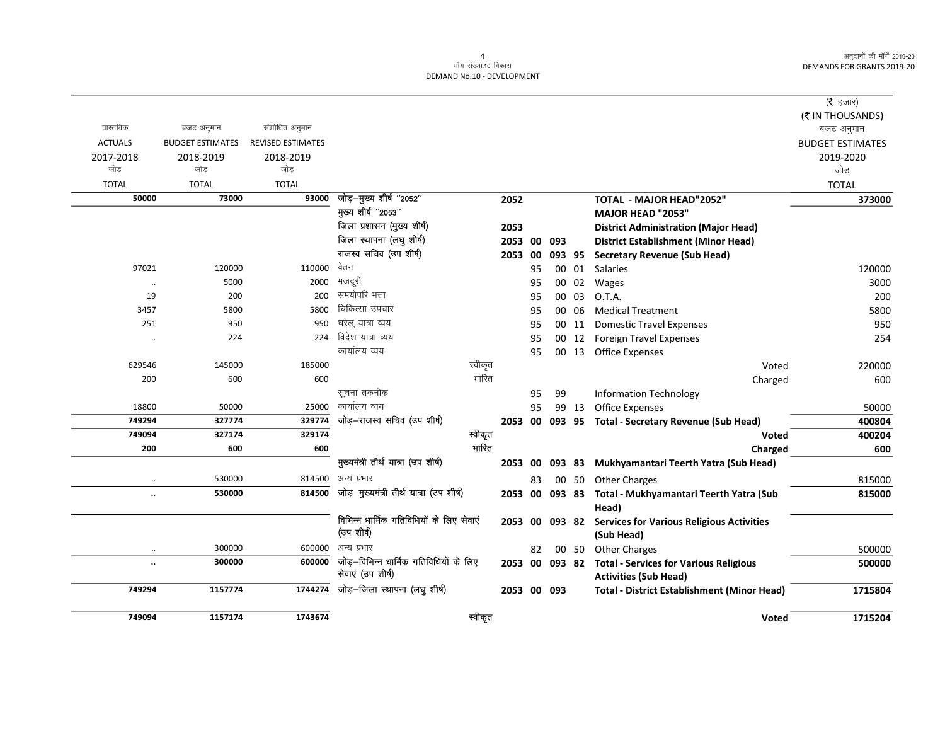### .<br>माँग संख्या.10 विकास DEMAND No.10 - DEVELOPMENT

|                       |                         |                          |                                                             |                 |          |                |                 |                                                                               | ( $\bar{\tau}$ हजार)    |
|-----------------------|-------------------------|--------------------------|-------------------------------------------------------------|-----------------|----------|----------------|-----------------|-------------------------------------------------------------------------------|-------------------------|
|                       |                         |                          |                                                             |                 |          |                |                 |                                                                               | (₹ IN THOUSANDS)        |
| वास्तविक              | बजट अनुमान              | संशोधित अनुमान           |                                                             |                 |          |                |                 |                                                                               | बजट अनुमान              |
| <b>ACTUALS</b>        | <b>BUDGET ESTIMATES</b> | <b>REVISED ESTIMATES</b> |                                                             |                 |          |                |                 |                                                                               | <b>BUDGET ESTIMATES</b> |
| 2017-2018             | 2018-2019               | 2018-2019<br>जोड         |                                                             |                 |          |                |                 |                                                                               | 2019-2020               |
| जोड़                  | जोड                     |                          |                                                             |                 |          |                |                 |                                                                               | जोड़                    |
| <b>TOTAL</b><br>50000 | <b>TOTAL</b><br>73000   | <b>TOTAL</b><br>93000    | जोड़-मुख्य शीर्ष "2052"                                     |                 |          |                |                 |                                                                               | <b>TOTAL</b>            |
|                       |                         |                          | मुख्य शीर्ष "2053"                                          | 2052            |          |                |                 | TOTAL - MAJOR HEAD"2052"                                                      | 373000                  |
|                       |                         |                          | जिला प्रशासन (मुख्य शीर्ष)                                  |                 |          |                |                 | MAJOR HEAD "2053"                                                             |                         |
|                       |                         |                          | जिला स्थापना (लघु शीर्ष)                                    | 2053<br>2053 00 |          |                |                 | <b>District Administration (Major Head)</b>                                   |                         |
|                       |                         |                          | राजस्व सचिव (उप शीर्ष)                                      |                 |          | 093            |                 | <b>District Establishment (Minor Head)</b>                                    |                         |
| 97021                 | 120000                  | 110000                   | वेतन                                                        | 2053 00         | 95       |                | 093 95<br>00 01 | <b>Secretary Revenue (Sub Head)</b><br>Salaries                               | 120000                  |
|                       | 5000                    | 2000                     | मजदूरी                                                      |                 | 95       |                | 02              |                                                                               | 3000                    |
| $\ddotsc$<br>19       | 200                     | 200                      | समयोपरि भत्ता                                               |                 |          | 00             |                 | Wages                                                                         |                         |
| 3457                  | 5800                    | 5800                     | चिकित्सा उपचार                                              |                 | 95       | 00             | 03<br>06        | O.T.A.<br><b>Medical Treatment</b>                                            | 200                     |
| 251                   | 950                     | 950                      | घरेलू यात्रा व्यय                                           |                 | 95<br>95 | 00             | 00 11           |                                                                               | 5800<br>950             |
|                       | 224                     | 224                      | विदेश यात्रा व्यय                                           |                 | 95       |                | 00 12           | <b>Domestic Travel Expenses</b><br><b>Foreign Travel Expenses</b>             | 254                     |
| $\ddotsc$             |                         |                          | कार्यालय व्यय                                               |                 | 95       |                | 00 13           | <b>Office Expenses</b>                                                        |                         |
| 629546                | 145000                  | 185000                   | स्वीकृत                                                     |                 |          |                |                 | Voted                                                                         | 220000                  |
| 200                   | 600                     | 600                      | भारित                                                       |                 |          |                |                 | Charged                                                                       | 600                     |
|                       |                         |                          | सूचना तकनीक                                                 |                 | 95       | 99             |                 | <b>Information Technology</b>                                                 |                         |
| 18800                 | 50000                   | 25000                    | कार्यालय व्यय                                               |                 | 95       |                | 99 13           | <b>Office Expenses</b>                                                        | 50000                   |
| 749294                | 327774                  | 329774                   | जोड़-राजस्व सचिव (उप शीर्ष)                                 |                 |          |                |                 | 2053 00 093 95 Total - Secretary Revenue (Sub Head)                           | 400804                  |
| 749094                | 327174                  | 329174                   | स्वीकृत                                                     |                 |          |                |                 | Voted                                                                         | 400204                  |
| 200                   | 600                     | 600                      | भारित                                                       |                 |          |                |                 | Charged                                                                       | 600                     |
|                       |                         |                          | मुख्यमंत्री तीर्थ यात्रा (उप शीर्ष)                         | 2053 00         |          | 093 83         |                 | Mukhyamantari Teerth Yatra (Sub Head)                                         |                         |
| $\ddotsc$             | 530000                  |                          | 814500 अन्य प्रभार                                          |                 | 83       |                | 00 50           | <b>Other Charges</b>                                                          | 815000                  |
| $\ddot{\phantom{a}}$  | 530000                  | 814500                   | जोड़-मुख्यमंत्री तीर्थ यात्रा (उप शीर्ष)                    |                 |          | 2053 00 093 83 |                 | Total - Mukhyamantari Teerth Yatra (Sub                                       | 815000                  |
|                       |                         |                          |                                                             |                 |          |                |                 | Head)                                                                         |                         |
|                       |                         |                          | विभिन्न धार्मिक गतिविधियों के लिए सेवाएं                    |                 |          |                |                 | 2053 00 093 82 Services for Various Religious Activities                      |                         |
|                       |                         |                          | (उप शीर्ष)                                                  |                 |          |                |                 | (Sub Head)                                                                    |                         |
| $\ldots$              | 300000                  | 600000                   | अन्य प्रभार                                                 |                 | 82       |                | 00 50           | <b>Other Charges</b>                                                          | 500000                  |
| $\ddot{\phantom{a}}$  | 300000                  | 600000                   | जोड़–विभिन्न धार्मिक गतिविधियों के लिए<br>सेवाएं (उप शीर्ष) | 2053 00 093 82  |          |                |                 | <b>Total - Services for Various Religious</b><br><b>Activities (Sub Head)</b> | 500000                  |
| 749294                | 1157774                 | 1744274                  | जोड़-जिला स्थापना (लघु शीर्ष)                               | 2053 00 093     |          |                |                 | <b>Total - District Establishment (Minor Head)</b>                            | 1715804                 |
|                       |                         |                          |                                                             |                 |          |                |                 |                                                                               |                         |
| 749094                | 1157174                 | 1743674                  | स्वीकृत                                                     |                 |          |                |                 | <b>Voted</b>                                                                  | 1715204                 |

 $\overline{4}$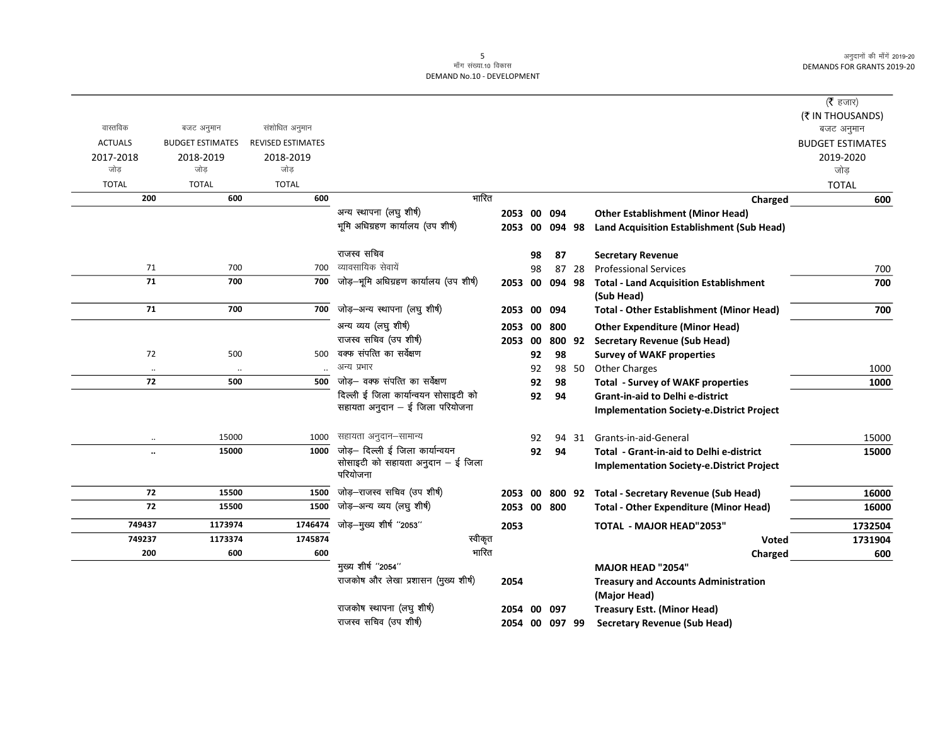|                |                         |                          |                                               |             |    |                |       |                                                             | ( $\bar{\tau}$ हजार)<br>(₹ IN THOUSANDS) |
|----------------|-------------------------|--------------------------|-----------------------------------------------|-------------|----|----------------|-------|-------------------------------------------------------------|------------------------------------------|
| वास्तविक       | बजट अनुमान              | संशोधित अनुमान           |                                               |             |    |                |       |                                                             | बजट अनुमान                               |
| <b>ACTUALS</b> | <b>BUDGET ESTIMATES</b> | <b>REVISED ESTIMATES</b> |                                               |             |    |                |       |                                                             | <b>BUDGET ESTIMATES</b>                  |
| 2017-2018      | 2018-2019               | 2018-2019                |                                               |             |    |                |       |                                                             | 2019-2020                                |
| जोड            | जोड                     | जोड                      |                                               |             |    |                |       |                                                             | जोड़                                     |
| <b>TOTAL</b>   | <b>TOTAL</b>            | <b>TOTAL</b>             |                                               |             |    |                |       |                                                             | <b>TOTAL</b>                             |
| 200            | 600                     | 600                      | भारित                                         |             |    |                |       | Charged                                                     | 600                                      |
|                |                         |                          | अन्य स्थापना (लघु शीर्ष)                      | 2053 00     |    | 094            |       | <b>Other Establishment (Minor Head)</b>                     |                                          |
|                |                         |                          | भूमि अधिग्रहण कार्यालय (उप शीर्ष)             | 2053 00     |    | 094 98         |       | <b>Land Acquisition Establishment (Sub Head)</b>            |                                          |
|                |                         |                          | राजस्व सचिव                                   |             | 98 | 87             |       | <b>Secretary Revenue</b>                                    |                                          |
| 71             | 700                     | 700                      | व्यावसायिक सेवायें                            |             | 98 |                | 87 28 | <b>Professional Services</b>                                | 700                                      |
| 71             | 700                     | 700                      | जोड़-भूमि अधिग्रहण कार्यालय (उप शीर्ष)        | 2053 00     |    | 094 98         |       | <b>Total - Land Acquisition Establishment</b><br>(Sub Head) | 700                                      |
| 71             | 700                     | 700                      | जोड़-अन्य स्थापना (लघु शीर्ष)                 | 2053 00     |    | 094            |       | <b>Total - Other Establishment (Minor Head)</b>             | 700                                      |
|                |                         |                          | अन्य व्यय (लघु शीर्ष)                         | 2053 00     |    | 800            |       | <b>Other Expenditure (Minor Head)</b>                       |                                          |
|                |                         |                          | राजस्व सचिव (उप शीर्ष)                        | 2053 00     |    |                |       | 800 92 Secretary Revenue (Sub Head)                         |                                          |
| 72             | 500                     | 500                      | वक्फ संपत्ति का सर्वेक्षण                     |             | 92 | 98             |       | <b>Survey of WAKF properties</b>                            |                                          |
| $\ldots$       | $\ddotsc$               |                          | अन्य प्रभार                                   |             | 92 |                | 98 50 | <b>Other Charges</b>                                        | 1000                                     |
| 72             | 500                     | 500                      | जोड़— वक्फ संपत्ति का सर्वेक्षण               |             | 92 | 98             |       | <b>Total - Survey of WAKF properties</b>                    | 1000                                     |
|                |                         |                          | दिल्ली ई जिला कार्यान्वयन सोसाइटी को          |             | 92 | 94             |       | <b>Grant-in-aid to Delhi e-district</b>                     |                                          |
|                |                         |                          | सहायता अनुदान - ई जिला परियोजना               |             |    |                |       | <b>Implementation Society-e.District Project</b>            |                                          |
| $\cdot$ .      | 15000                   | 1000                     | सहायता अनुदान–सामान्य                         |             | 92 | 94             | 31    | Grants-in-aid-General                                       | 15000                                    |
|                | 15000                   | 1000                     | जोड़- दिल्ली ई जिला कार्यान्वयन               |             | 92 | 94             |       | Total - Grant-in-aid to Delhi e-district                    | 15000                                    |
|                |                         |                          | सोसाइटी को सहायता अनुदान – ई जिला<br>परियोजना |             |    |                |       | <b>Implementation Society-e.District Project</b>            |                                          |
| 72             | 15500                   | 1500                     | जोड़-राजस्व सचिव (उप शीर्ष)                   | 2053 00     |    |                |       | 800 92 Total - Secretary Revenue (Sub Head)                 | 16000                                    |
| 72             | 15500                   | 1500                     | जोड़-अन्य व्यय (लघु शीर्ष)                    | 2053 00 800 |    |                |       | <b>Total - Other Expenditure (Minor Head)</b>               | 16000                                    |
| 749437         | 1173974                 | 1746474                  | जोड़-मुख्य शीर्ष "2053"                       | 2053        |    |                |       | <b>TOTAL - MAJOR HEAD"2053"</b>                             | 1732504                                  |
| 749237         | 1173374                 | 1745874                  | स्वीकृत                                       |             |    |                |       | Voted                                                       | 1731904                                  |
| 200            | 600                     | 600                      | भारित                                         |             |    |                |       | Charged                                                     | 600                                      |
|                |                         |                          | मुख्य शीर्ष "2054"                            |             |    |                |       | <b>MAJOR HEAD "2054"</b>                                    |                                          |
|                |                         |                          | राजकोष और लेखा प्रशासन (मुख्य शीर्ष)          | 2054        |    |                |       | <b>Treasury and Accounts Administration</b><br>(Major Head) |                                          |
|                |                         |                          | राजकोष स्थापना (लघु शीर्ष)                    | 2054 00     |    | 097            |       | <b>Treasury Estt. (Minor Head)</b>                          |                                          |
|                |                         |                          | राजस्व सचिव (उप शीर्ष)                        |             |    | 2054 00 097 99 |       | <b>Secretary Revenue (Sub Head)</b>                         |                                          |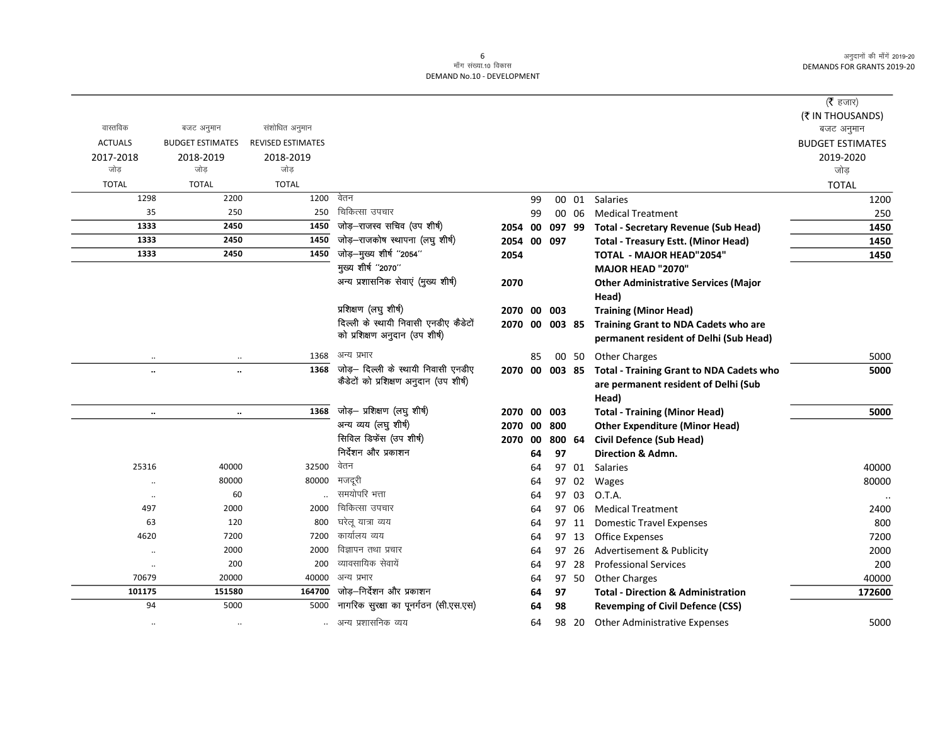$\overline{\phantom{0}}$ 

|                |                         |                          |                                               |                |    |        |       |                                                      | ( $\bar{\tau}$ हजार)<br>(₹ IN THOUSANDS) |
|----------------|-------------------------|--------------------------|-----------------------------------------------|----------------|----|--------|-------|------------------------------------------------------|------------------------------------------|
| वास्तविक       | बजट अनुमान              | संशोधित अनुमान           |                                               |                |    |        |       |                                                      | बजट अनुमान                               |
| <b>ACTUALS</b> | <b>BUDGET ESTIMATES</b> | <b>REVISED ESTIMATES</b> |                                               |                |    |        |       |                                                      | <b>BUDGET ESTIMATES</b>                  |
| 2017-2018      | 2018-2019               | 2018-2019                |                                               |                |    |        |       |                                                      | 2019-2020                                |
| जोड            | जोड                     | जोड                      |                                               |                |    |        |       |                                                      | जोड़                                     |
| <b>TOTAL</b>   | <b>TOTAL</b>            | <b>TOTAL</b>             |                                               |                |    |        |       |                                                      | <b>TOTAL</b>                             |
| 1298           | 2200                    | 1200                     | वेतन                                          |                | 99 |        | 00 01 | <b>Salaries</b>                                      | 1200                                     |
| 35             | 250                     | 250                      | चिकित्सा उपचार                                |                | 99 |        | 00 06 | <b>Medical Treatment</b>                             | 250                                      |
| 1333           | 2450                    | 1450                     | जोड़-राजस्व सचिव (उप शीर्ष)                   | 2054 00        |    | 097 99 |       | <b>Total - Secretary Revenue (Sub Head)</b>          | 1450                                     |
| 1333           | 2450                    | 1450                     | जोड़-राजकोष स्थापना (लघु शीर्ष)               | 2054           |    | 00 097 |       | <b>Total - Treasury Estt. (Minor Head)</b>           | 1450                                     |
| 1333           | 2450                    | 1450                     | जोड़-मुख्य शीर्ष "2054"<br>मुख्य शीर्ष "2070" | 2054           |    |        |       | <b>TOTAL - MAJOR HEAD"2054"</b>                      | 1450                                     |
|                |                         |                          |                                               |                |    |        |       | <b>MAJOR HEAD "2070"</b>                             |                                          |
|                |                         |                          | अन्य प्रशासनिक सेवाएं (मुख्य शीर्ष)           | 2070           |    |        |       | <b>Other Administrative Services (Major</b><br>Head) |                                          |
|                |                         |                          | प्रशिक्षण (लघुशीर्ष)                          | 2070 00 003    |    |        |       | <b>Training (Minor Head)</b>                         |                                          |
|                |                         |                          | दिल्ली के स्थायी निवासी एनडीए कैडेटों         | 2070 00 003 85 |    |        |       | Training Grant to NDA Cadets who are                 |                                          |
|                |                         |                          | को प्रशिक्षण अनुदान (उप शीर्ष)                |                |    |        |       | permanent resident of Delhi (Sub Head)               |                                          |
| $\cdot\cdot$   | $\ldots$                | 1368                     | अन्य प्रभार                                   |                | 85 |        |       | 00 50 Other Charges                                  | 5000                                     |
| $\ddotsc$      | $\ddot{\phantom{a}}$    | 1368                     | जोड़- दिल्ली के स्थायी निवासी एनडीए           | 2070 00 003 85 |    |        |       | <b>Total - Training Grant to NDA Cadets who</b>      | 5000                                     |
|                |                         |                          | कैडेटों को प्रशिक्षण अनुदान (उप शीर्ष)        |                |    |        |       | are permanent resident of Delhi (Sub                 |                                          |
|                |                         |                          |                                               |                |    |        |       | Head)                                                |                                          |
| $\ddotsc$      | $\ddotsc$               | 1368                     | जोड़- प्रशिक्षण (लघु शीर्ष)                   | 2070 00 003    |    |        |       | <b>Total - Training (Minor Head)</b>                 | 5000                                     |
|                |                         |                          | अन्य व्यय (लघु शीर्ष)                         | 2070           | 00 | 800    |       | <b>Other Expenditure (Minor Head)</b>                |                                          |
|                |                         |                          | सिविल डिफेंस (उप शीर्ष)                       | 2070           | 00 | 800 64 |       | <b>Civil Defence (Sub Head)</b>                      |                                          |
|                |                         |                          | निर्देशन और प्रकाशन                           |                | 64 | 97     |       | Direction & Admn.                                    |                                          |
| 25316          | 40000                   | 32500                    | वेतन                                          |                | 64 |        | 97 01 | Salaries                                             | 40000                                    |
|                | 80000                   | 80000                    | मजदूरी                                        |                | 64 |        | 97 02 | Wages                                                | 80000                                    |
| $\ddotsc$      | 60                      |                          | समयोपरि भत्ता                                 |                | 64 | 97     | 03    | O.T.A.                                               |                                          |
| 497            | 2000                    | 2000                     | चिकित्सा उपचार                                |                | 64 | 97     | 06    | <b>Medical Treatment</b>                             | 2400                                     |
| 63             | 120                     | 800                      | घरेलू यात्रा व्यय                             |                | 64 |        | 97 11 | <b>Domestic Travel Expenses</b>                      | 800                                      |
| 4620           | 7200                    | 7200                     | कार्यालय व्यय                                 |                | 64 |        | 97 13 | <b>Office Expenses</b>                               | 7200                                     |
| $\ddotsc$      | 2000                    | 2000                     | विज्ञापन तथा प्रचार                           |                | 64 | 97     | 26    | Advertisement & Publicity                            | 2000                                     |
| $\cdot\cdot$   | 200                     | 200                      | व्यावसायिक सेवायें                            |                | 64 | 97     | 28    | <b>Professional Services</b>                         | 200                                      |
| 70679          | 20000                   | 40000                    | अन्य प्रभार                                   |                | 64 |        | 97 50 | <b>Other Charges</b>                                 | 40000                                    |
| 101175         | 151580                  | 164700                   | जोड़—निर्देशन और प्रकाशन                      |                | 64 | 97     |       | <b>Total - Direction &amp; Administration</b>        | 172600                                   |
| 94             | 5000                    | 5000                     | नागरिक सुरक्षा का पूनर्गठन (सी.एस.एस)         |                | 64 | 98     |       | <b>Revemping of Civil Defence (CSS)</b>              |                                          |
| $\ddotsc$      | $\ddotsc$               |                          | अन्य प्रशासनिक व्यय                           |                | 64 |        | 98 20 | <b>Other Administrative Expenses</b>                 | 5000                                     |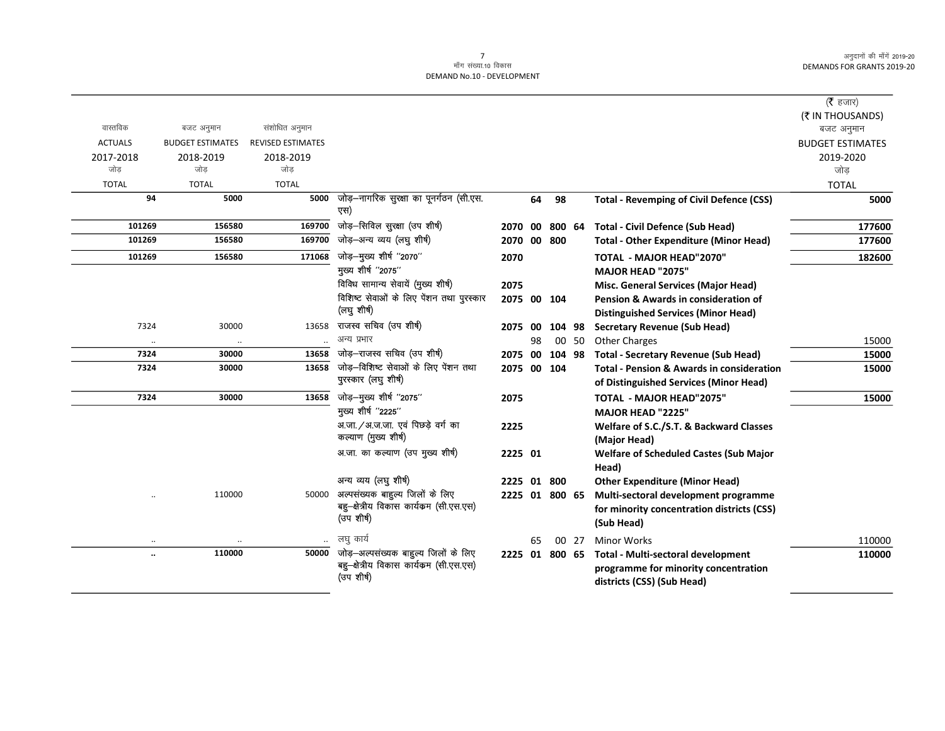|                      |                         |                          |                                                |                |    |        |       |                                                      | ( $\bar{\tau}$ हजार)    |
|----------------------|-------------------------|--------------------------|------------------------------------------------|----------------|----|--------|-------|------------------------------------------------------|-------------------------|
|                      |                         |                          |                                                |                |    |        |       |                                                      | (₹ IN THOUSANDS)        |
| वास्तविक             | बजट अनुमान              | संशोधित अनुमान           |                                                |                |    |        |       |                                                      | बजट अनुमान              |
| <b>ACTUALS</b>       | <b>BUDGET ESTIMATES</b> | <b>REVISED ESTIMATES</b> |                                                |                |    |        |       |                                                      | <b>BUDGET ESTIMATES</b> |
| 2017-2018            | 2018-2019               | 2018-2019                |                                                |                |    |        |       |                                                      | 2019-2020               |
| जोड                  | जोड                     | जोड                      |                                                |                |    |        |       |                                                      | जोड                     |
| <b>TOTAL</b>         | <b>TOTAL</b>            | <b>TOTAL</b>             |                                                |                |    |        |       |                                                      | <b>TOTAL</b>            |
| 94                   | 5000                    | 5000                     | जोड़–नागरिक सुरक्षा का पूनर्गठन (सी.एस.<br>एस) |                | 64 | 98     |       | <b>Total - Revemping of Civil Defence (CSS)</b>      | 5000                    |
| 101269               | 156580                  | 169700                   | जोड़-सिविल सुरक्षा (उप शीर्ष)                  | 2070 00        |    | 800 64 |       | <b>Total - Civil Defence (Sub Head)</b>              | 177600                  |
| 101269               | 156580                  | 169700                   | जोड़–अन्य व्यय (लघु शीर्ष)                     | 2070 00        |    | 800    |       | <b>Total - Other Expenditure (Minor Head)</b>        | 177600                  |
| 101269               | 156580                  | 171068                   | जोड़-मुख्य शीर्ष "2070"                        | 2070           |    |        |       | TOTAL - MAJOR HEAD"2070"                             | 182600                  |
|                      |                         |                          | मुख्य शीर्ष "2075"                             |                |    |        |       | MAJOR HEAD "2075"                                    |                         |
|                      |                         |                          | विविध सामान्य सेवायें (मुख्य शीर्ष)            | 2075           |    |        |       | Misc. General Services (Major Head)                  |                         |
|                      |                         |                          | विशिष्ट सेवाओं के लिए पेंशन तथा पुरस्कार       | 2075 00 104    |    |        |       | Pension & Awards in consideration of                 |                         |
|                      |                         |                          | (लघु शीर्ष)                                    |                |    |        |       | <b>Distinguished Services (Minor Head)</b>           |                         |
| 7324                 | 30000                   | 13658                    | राजस्व सचिव (उप शीर्ष)                         | 2075 00        |    | 104 98 |       | <b>Secretary Revenue (Sub Head)</b>                  |                         |
| $\cdot\cdot$         | $\ddotsc$               | $\ddotsc$                | अन्य प्रभार                                    |                | 98 |        | 00 50 | <b>Other Charges</b>                                 | 15000                   |
| 7324                 | 30000                   | 13658                    | जोड़-राजस्व सचिव (उप शीर्ष)                    | 2075 00        |    | 104 98 |       | <b>Total - Secretary Revenue (Sub Head)</b>          | 15000                   |
| 7324                 | 30000                   | 13658                    | जोड़-विशिष्ट सेवाओं के लिए पेंशन तथा           | 2075 00        |    | 104    |       | <b>Total - Pension &amp; Awards in consideration</b> | 15000                   |
|                      |                         |                          | पुरस्कार (लघु शीर्ष)                           |                |    |        |       | of Distinguished Services (Minor Head)               |                         |
| 7324                 | 30000                   | 13658                    | जोड़—मुख्य शीर्ष "2075"                        | 2075           |    |        |       | TOTAL - MAJOR HEAD"2075"                             | 15000                   |
|                      |                         |                          | मुख्य शीर्ष "2225"                             |                |    |        |       | MAJOR HEAD "2225"                                    |                         |
|                      |                         |                          | अ.जा./अ.ज.जा. एवं पिछड़े वर्ग का               | 2225           |    |        |       | Welfare of S.C./S.T. & Backward Classes              |                         |
|                      |                         |                          | कल्याण (मुख्य शीर्ष)                           |                |    |        |       | (Major Head)                                         |                         |
|                      |                         |                          | अ.जा. का कल्याण (उप मुख्य शीर्ष)               | 2225 01        |    |        |       | <b>Welfare of Scheduled Castes (Sub Major</b>        |                         |
|                      |                         |                          |                                                |                |    |        |       | Head)                                                |                         |
|                      |                         |                          | अन्य व्यय (लघु शीर्ष)                          | 2225 01 800    |    |        |       | <b>Other Expenditure (Minor Head)</b>                |                         |
|                      | 110000                  | 50000                    | अल्पसंख्यक बाहुल्य जिलों के लिए                | 2225 01 800 65 |    |        |       | Multi-sectoral development programme                 |                         |
|                      |                         |                          | बहु-क्षेत्रीय विकास कार्यक्रम (सी.एस.एस)       |                |    |        |       | for minority concentration districts (CSS)           |                         |
|                      |                         |                          | (उप शीर्ष)                                     |                |    |        |       | (Sub Head)                                           |                         |
| $\ddot{\phantom{a}}$ |                         | $\ldots$                 | लघु कार्य                                      |                | 65 |        | 00 27 | <b>Minor Works</b>                                   | 110000                  |
| $\ddot{\phantom{a}}$ | 110000                  | 50000                    | जोड़—अल्पसंख्यक बाहुल्य जिलों के लिए           | 2225 01        |    | 800 65 |       | Total - Multi-sectoral development                   | 110000                  |
|                      |                         |                          | बहु—क्षेत्रीय विकास कार्यक्रम (सी.एस.एस)       |                |    |        |       | programme for minority concentration                 |                         |
|                      |                         |                          | (उप शीर्ष)                                     |                |    |        |       | districts (CSS) (Sub Head)                           |                         |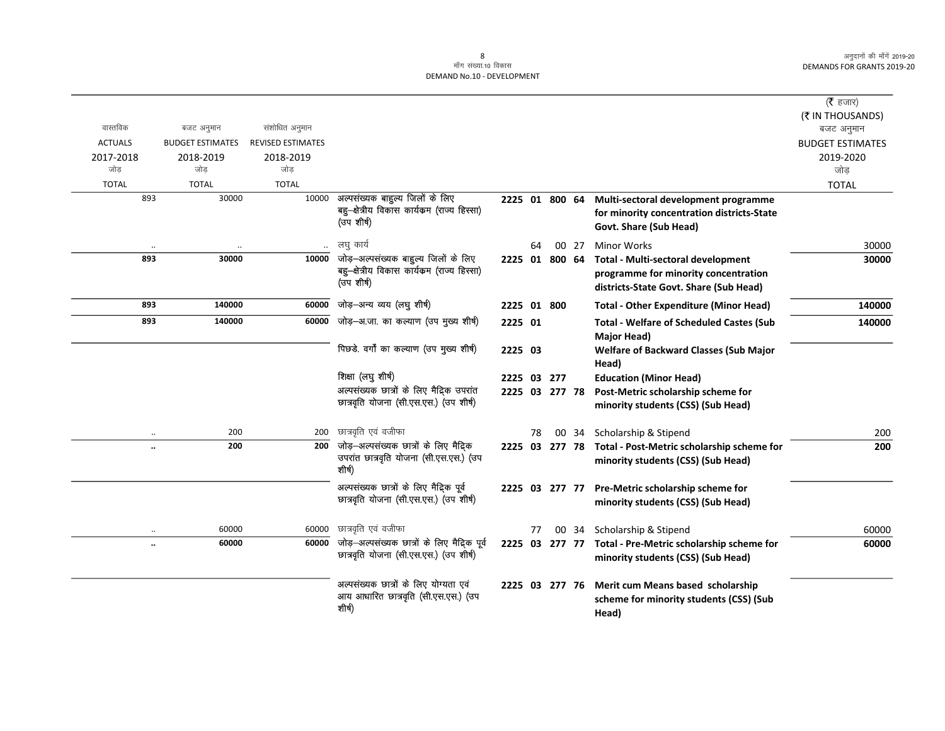|                      |                         |                          |                                                                                 |                |    |       |                                                           | ( $\bar{\tau}$ हजार)    |
|----------------------|-------------------------|--------------------------|---------------------------------------------------------------------------------|----------------|----|-------|-----------------------------------------------------------|-------------------------|
|                      |                         |                          |                                                                                 |                |    |       |                                                           | (₹ IN THOUSANDS)        |
| वास्तविक             | बजट अनुमान              | संशोधित अनुमान           |                                                                                 |                |    |       |                                                           | बजट अनुमान              |
| <b>ACTUALS</b>       | <b>BUDGET ESTIMATES</b> | <b>REVISED ESTIMATES</b> |                                                                                 |                |    |       |                                                           | <b>BUDGET ESTIMATES</b> |
| 2017-2018            | 2018-2019               | 2018-2019                |                                                                                 |                |    |       |                                                           | 2019-2020               |
| जोड                  | जोड                     | जोड                      |                                                                                 |                |    |       |                                                           | जोड                     |
| <b>TOTAL</b>         | <b>TOTAL</b>            | <b>TOTAL</b>             |                                                                                 |                |    |       |                                                           | <b>TOTAL</b>            |
| 893                  | 30000                   | 10000                    | अल्पसंख्यक बाहुल्य जिलों के लिए<br>बहु-क्षेत्रीय विकास कार्यक्रम (राज्य हिस्सा) | 2225 01 800 64 |    |       | Multi-sectoral development programme                      |                         |
|                      |                         |                          | (उप शीर्ष)                                                                      |                |    |       | for minority concentration districts-State                |                         |
|                      |                         |                          |                                                                                 |                |    |       | Govt. Share (Sub Head)                                    |                         |
|                      |                         |                          | लघु कार्य                                                                       |                | 64 | 00 27 | <b>Minor Works</b>                                        | 30000                   |
| 893                  | 30000                   | 10000                    | जोड़-अल्पसंख्यक बाहुल्य जिलों के लिए                                            | 2225 01 800 64 |    |       | Total - Multi-sectoral development                        | 30000                   |
|                      |                         |                          | बहु—क्षेत्रीय विकास कार्यक्रम (राज्य हिस्सा)                                    |                |    |       | programme for minority concentration                      |                         |
|                      |                         |                          | (उप शीर्ष)                                                                      |                |    |       | districts-State Govt. Share (Sub Head)                    |                         |
| 893                  | 140000                  | 60000                    | जोड़-अन्य व्यय (लघु शीर्ष)                                                      | 2225 01 800    |    |       | <b>Total - Other Expenditure (Minor Head)</b>             | 140000                  |
| 893                  | 140000                  | 60000                    | जोड़—अ.जा. का कल्याण (उप मुख्य शीर्ष)                                           | 2225 01        |    |       | <b>Total - Welfare of Scheduled Castes (Sub</b>           | 140000                  |
|                      |                         |                          |                                                                                 |                |    |       | <b>Major Head)</b>                                        |                         |
|                      |                         |                          | पिछडे. वर्गों का कल्याण (उप मुख्य शीर्ष)                                        | 2225 03        |    |       | <b>Welfare of Backward Classes (Sub Major</b>             |                         |
|                      |                         |                          |                                                                                 |                |    |       | Head)                                                     |                         |
|                      |                         |                          | शिक्षा (लघु शीर्ष)                                                              | 2225 03 277    |    |       | <b>Education (Minor Head)</b>                             |                         |
|                      |                         |                          | अल्पसंख्यक छात्रों के लिए मैदिक उपरांत                                          | 2225 03 277 78 |    |       | Post-Metric scholarship scheme for                        |                         |
|                      |                         |                          | छात्रवृति योजना (सी.एस.एस.) (उप शीर्ष)                                          |                |    |       | minority students (CSS) (Sub Head)                        |                         |
| $\ddot{\phantom{0}}$ | 200                     | 200                      | छात्रवृति एवं वजीफा                                                             |                | 78 |       | 00 34 Scholarship & Stipend                               | 200                     |
| $\ddot{\phantom{a}}$ | 200                     | 200                      | जोड़-अल्पसंख्यक छात्रों के लिए मैदिक                                            |                |    |       | 2225 03 277 78 Total - Post-Metric scholarship scheme for | 200                     |
|                      |                         |                          | उपरांत छात्रवृति योजना (सी.एस.एस.) (उप                                          |                |    |       | minority students (CSS) (Sub Head)                        |                         |
|                      |                         |                          | शीर्ष)                                                                          |                |    |       |                                                           |                         |
|                      |                         |                          | अल्पसंख्यक छात्रों के लिए मैदिक पूर्व                                           | 2225 03 277 77 |    |       | Pre-Metric scholarship scheme for                         |                         |
|                      |                         |                          | छात्रवृति योजना (सी.एस.एस.) (उप शीर्ष)                                          |                |    |       | minority students (CSS) (Sub Head)                        |                         |
|                      |                         |                          | छात्रवृति एवं वजीफा                                                             |                |    |       |                                                           |                         |
| $\ldots$             | 60000<br>60000          | 60000                    | जोड़—अल्पसंख्यक छात्रों के लिए मैदिक पूर्व                                      |                | 77 |       | 00 34 Scholarship & Stipend                               | 60000                   |
| $\ddot{\phantom{0}}$ |                         | 60000                    | छात्रवृति योजना (सी.एस.एस.) (उप शीर्ष)                                          |                |    |       | 2225 03 277 77 Total - Pre-Metric scholarship scheme for  | 60000                   |
|                      |                         |                          |                                                                                 |                |    |       | minority students (CSS) (Sub Head)                        |                         |
|                      |                         |                          | अल्पसंख्यक छात्रों के लिए योग्यता एवं                                           | 2225 03 277 76 |    |       | Merit cum Means based scholarship                         |                         |
|                      |                         |                          | आय आधारित छात्रवृति (सी.एस.एस.) (उप                                             |                |    |       | scheme for minority students (CSS) (Sub                   |                         |
|                      |                         |                          | शीर्ष)                                                                          |                |    |       | Head)                                                     |                         |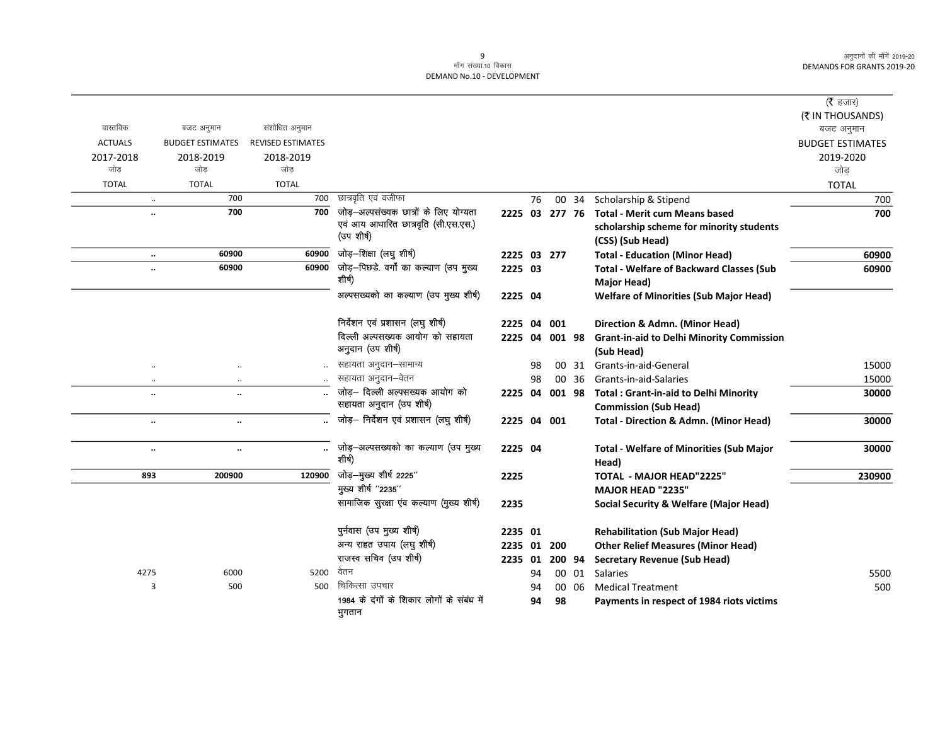### 9<br>माँग संख्या.10 विकास DEMAND No.10 - DEVELOPMENT

|                      |                         |                          |                                                            |                |    |           |       |                                                                | ( <b>रै</b> हजार)<br>(₹ IN THOUSANDS) |
|----------------------|-------------------------|--------------------------|------------------------------------------------------------|----------------|----|-----------|-------|----------------------------------------------------------------|---------------------------------------|
| वास्तविक             | बजट अनुमान              | संशोधित अनुमान           |                                                            |                |    |           |       |                                                                | बजट अनुमान                            |
| <b>ACTUALS</b>       | <b>BUDGET ESTIMATES</b> | <b>REVISED ESTIMATES</b> |                                                            |                |    |           |       |                                                                | <b>BUDGET ESTIMATES</b>               |
| 2017-2018            | 2018-2019               | 2018-2019                |                                                            |                |    |           |       |                                                                | 2019-2020                             |
| जोड                  | जोड                     | जोड                      |                                                            |                |    |           |       |                                                                | जोड                                   |
| <b>TOTAL</b>         | <b>TOTAL</b>            | <b>TOTAL</b>             |                                                            |                |    |           |       |                                                                | <b>TOTAL</b>                          |
| $\ldots$             | 700                     | 700                      | छात्रवृति एवं वजीफा                                        |                | 76 |           | 00 34 | Scholarship & Stipend                                          | 700                                   |
| $\ddot{\phantom{a}}$ | 700                     | 700                      | जोड़-अल्पसंख्यक छात्रों के लिए योग्यता                     | 2225 03 277 76 |    |           |       | <b>Total - Merit cum Means based</b>                           | 700                                   |
|                      |                         |                          | एवं आय आधारित छात्रवृति (सी.एस.एस.)<br>(उप शीर्ष)          |                |    |           |       | scholarship scheme for minority students<br>(CSS) (Sub Head)   |                                       |
| $\ddotsc$            | 60900                   | 60900                    | जोड़-शिक्षा (लघु शीर्ष)                                    | 2225 03 277    |    |           |       | <b>Total - Education (Minor Head)</b>                          | 60900                                 |
| $\ddot{\phantom{0}}$ | 60900                   | 60900                    | जोड़–पिछडे. वर्गों का कल्याण (उप मुख्य                     | 2225 03        |    |           |       | <b>Total - Welfare of Backward Classes (Sub</b>                | 60900                                 |
|                      |                         |                          | शीर्ष)                                                     |                |    |           |       | Major Head)                                                    |                                       |
|                      |                         |                          | अल्पसख्यको का कल्याण (उप मुख्य शीर्ष)                      | 2225 04        |    |           |       | <b>Welfare of Minorities (Sub Major Head)</b>                  |                                       |
|                      |                         |                          | निर्देशन एवं प्रशासन (लघु शीर्ष)                           | 2225           | 04 | 001       |       | Direction & Admn. (Minor Head)                                 |                                       |
|                      |                         |                          | दिल्ली अल्पसख्यक आयोग को सहायता<br>अनुदान (उप शीर्ष)       | 2225           |    | 04 001 98 |       | <b>Grant-in-aid to Delhi Minority Commission</b><br>(Sub Head) |                                       |
| $\ddotsc$            | $\cdot$                 |                          | सहायता अनुदान–सामान्य                                      |                | 98 |           | 00 31 | Grants-in-aid-General                                          | 15000                                 |
| $\ldots$             | $\ldots$                |                          | सहायता अनुदान–वेतन                                         |                | 98 |           | 00 36 | Grants-in-aid-Salaries                                         | 15000                                 |
| $\ddotsc$            | $\cdot$                 |                          | जोड़- दिल्ली अल्पसख्यक आयोग को                             | 2225 04        |    | 001 98    |       | <b>Total: Grant-in-aid to Delhi Minority</b>                   | 30000                                 |
|                      |                         |                          | सहायता अनुदान (उप शीर्ष)                                   |                |    |           |       | <b>Commission (Sub Head)</b>                                   |                                       |
| $\ldots$             | $\ldots$                |                          | जोड़- निर्देशन एवं प्रशासन (लघु शीर्ष)                     | 2225 04 001    |    |           |       | Total - Direction & Admn. (Minor Head)                         | 30000                                 |
| $\ddotsc$            | $\ldots$                | $\ddotsc$                | जोड़–अल्पसख्यको का कल्याण (उप मुख्य<br>शीर्ष)              | 2225 04        |    |           |       | <b>Total - Welfare of Minorities (Sub Major</b><br>Head)       | 30000                                 |
| 893                  | 200900                  | 120900                   | जोड़-मुख्य शीर्ष 2225"                                     | 2225           |    |           |       | <b>TOTAL - MAJOR HEAD"2225"</b>                                | 230900                                |
|                      |                         |                          | मुख्य शीर्ष "2235"                                         |                |    |           |       | MAJOR HEAD "2235"                                              |                                       |
|                      |                         |                          | सामाजिक सुरक्षा एव कल्याण (मुख्य शीर्ष)                    | 2235           |    |           |       | <b>Social Security &amp; Welfare (Major Head)</b>              |                                       |
|                      |                         |                          | पुर्नवास (उप मुख्य शीर्ष)                                  | 2235 01        |    |           |       | <b>Rehabilitation (Sub Major Head)</b>                         |                                       |
|                      |                         |                          | अन्य राहत उपाय (लघु शीर्ष)                                 | 2235 01        |    | 200       |       | <b>Other Relief Measures (Minor Head)</b>                      |                                       |
|                      |                         |                          | राजस्व सचिव (उप शीर्ष)                                     | 2235 01        |    | 200 94    |       | <b>Secretary Revenue (Sub Head)</b>                            |                                       |
| 4275                 | 6000                    | 5200                     | वेतन                                                       |                | 94 |           | 00 01 | <b>Salaries</b>                                                | 5500                                  |
| 3                    | 500                     | 500                      | चिकित्सा उपचार                                             |                | 94 |           | 00 06 | <b>Medical Treatment</b>                                       | 500                                   |
|                      |                         |                          | 1984 के दंगों के शिकार लोगों के संबंध में<br><b>TITATA</b> |                | 94 | 98        |       | Payments in respect of 1984 riots victims                      |                                       |

भुगतान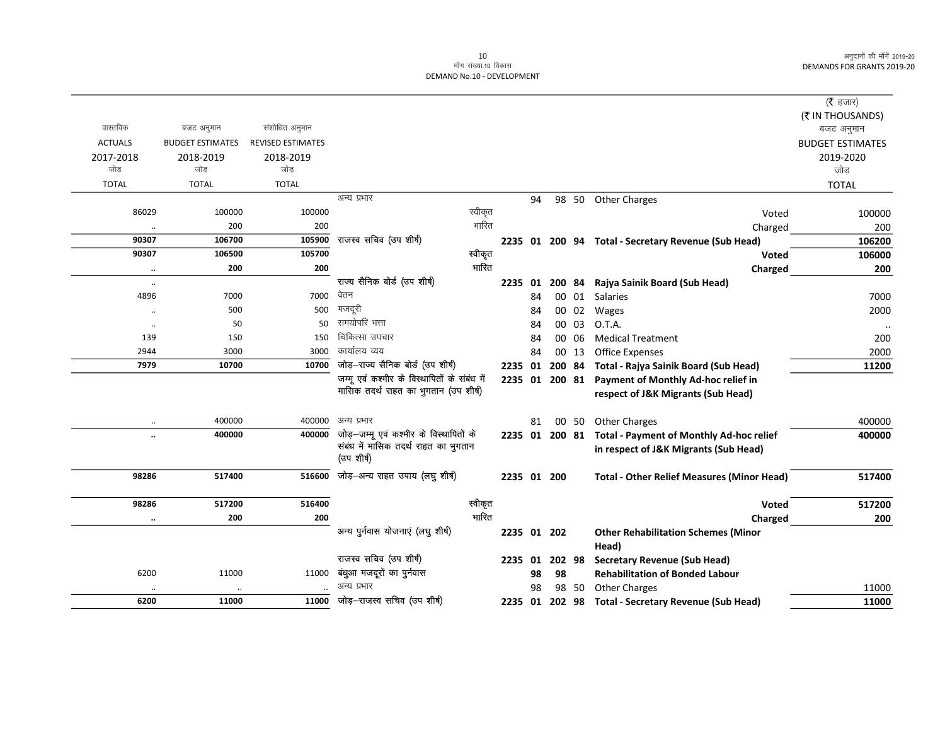|                      |                         |                          |                                              |                |    |        |       |                                                     | ( $\bar{\tau}$ हजार)    |
|----------------------|-------------------------|--------------------------|----------------------------------------------|----------------|----|--------|-------|-----------------------------------------------------|-------------------------|
|                      |                         |                          |                                              |                |    |        |       |                                                     | (₹ IN THOUSANDS)        |
| वास्तविक             | बजट अनुमान              | संशोधित अनुमान           |                                              |                |    |        |       |                                                     | बजट अनुमान              |
| <b>ACTUALS</b>       | <b>BUDGET ESTIMATES</b> | <b>REVISED ESTIMATES</b> |                                              |                |    |        |       |                                                     | <b>BUDGET ESTIMATES</b> |
| 2017-2018            | 2018-2019               | 2018-2019                |                                              |                |    |        |       |                                                     | 2019-2020               |
| जोड                  | जोड                     | जोड                      |                                              |                |    |        |       |                                                     | जोड                     |
| <b>TOTAL</b>         | <b>TOTAL</b>            | <b>TOTAL</b>             |                                              |                |    |        |       |                                                     | <b>TOTAL</b>            |
|                      |                         |                          | अन्य प्रभार                                  |                | 94 |        |       | 98 50 Other Charges                                 |                         |
| 86029                | 100000                  | 100000                   | स्वीकृत                                      |                |    |        |       | Voted                                               | 100000                  |
| $\ddot{\phantom{0}}$ | 200                     | 200                      | भारित                                        |                |    |        |       | Charged                                             | 200                     |
| 90307                | 106700                  | 105900                   | राजस्व सचिव (उप शीर्ष)                       |                |    |        |       | 2235 01 200 94 Total - Secretary Revenue (Sub Head) | 106200                  |
| 90307                | 106500                  | 105700                   | स्वीकृत                                      |                |    |        |       | Voted                                               | 106000                  |
| $\ldots$             | 200                     | 200                      | भारित                                        |                |    |        |       | Charged                                             | 200                     |
| $\ddot{\phantom{a}}$ |                         |                          | राज्य सैनिक बोर्ड (उप शीर्ष)                 | 2235 01        |    | 200 84 |       | Rajya Sainik Board (Sub Head)                       |                         |
| 4896                 | 7000                    | 7000                     | वेतन                                         |                | 84 |        | 00 01 | Salaries                                            | 7000                    |
| $\cdot$ .            | 500                     | 500                      | मजदूरी                                       |                | 84 |        | 00 02 | Wages                                               | 2000                    |
| $\ddotsc$            | 50                      | 50                       | समयोपरि भत्ता                                |                | 84 |        | 00 03 | O.T.A.                                              |                         |
| 139                  | 150                     | 150                      | चिकित्सा उपचार                               |                | 84 |        | 00 06 | <b>Medical Treatment</b>                            | 200                     |
| 2944                 | 3000                    | 3000                     | कार्यालय व्यय                                |                | 84 |        | 00 13 | <b>Office Expenses</b>                              | 2000                    |
| 7979                 | 10700                   | 10700                    | जोड़-राज्य सैनिक बोर्ड (उप शीर्ष)            | 2235 01        |    | 200 84 |       | Total - Rajya Sainik Board (Sub Head)               | 11200                   |
|                      |                         |                          | जम्मू एवं कश्मीर के विस्थापितों के संबंध में | 2235 01 200 81 |    |        |       | Payment of Monthly Ad-hoc relief in                 |                         |
|                      |                         |                          | मासिक तदर्थ राहत का भुगतान (उप शीर्ष)        |                |    |        |       | respect of J&K Migrants (Sub Head)                  |                         |
|                      | 400000                  |                          | 400000 अन्य प्रभार                           |                | 81 |        | 00 50 | <b>Other Charges</b>                                | 400000                  |
| $\ddot{\phantom{0}}$ | 400000                  | 400000                   | जोड़-जम्मू एवं कश्मीर के विस्थापितों के      | 2235 01 200 81 |    |        |       | <b>Total - Payment of Monthly Ad-hoc relief</b>     | 400000                  |
|                      |                         |                          | संबंध में मासिक तदर्थ राहत का भुगतान         |                |    |        |       | in respect of J&K Migrants (Sub Head)               |                         |
|                      |                         |                          | (उप शीर्ष)                                   |                |    |        |       |                                                     |                         |
| 98286                | 517400                  |                          | 516600 जोड़-अन्य राहत उपाय (लघु शीर्ष)       | 2235 01 200    |    |        |       | <b>Total - Other Relief Measures (Minor Head)</b>   | 517400                  |
| 98286                | 517200                  | 516400                   | स्वीकृत                                      |                |    |        |       | Voted                                               | 517200                  |
|                      | 200                     | 200                      | भारित                                        |                |    |        |       |                                                     | 200                     |
| $\ddotsc$            |                         |                          | अन्य पुर्नवास योजनाएं (लघु शीर्ष)            | 2235 01 202    |    |        |       | Charged                                             |                         |
|                      |                         |                          |                                              |                |    |        |       | <b>Other Rehabilitation Schemes (Minor</b><br>Head) |                         |
|                      |                         |                          | राजस्व सचिव (उप शीर्ष)                       | 2235 01        |    | 202 98 |       | <b>Secretary Revenue (Sub Head)</b>                 |                         |
| 6200                 | 11000                   | 11000                    | बंधुआ मजदूरों का पुर्नवास                    |                | 98 | 98     |       | <b>Rehabilitation of Bonded Labour</b>              |                         |
|                      |                         |                          | अन्य प्रभार                                  |                | 98 |        | 98 50 | <b>Other Charges</b>                                | 11000                   |
| 6200                 | 11000                   |                          | 11000 जोड़-राजस्व सचिव (उप शीर्ष)            | 2235 01        |    | 202 98 |       | <b>Total - Secretary Revenue (Sub Head)</b>         | 11000                   |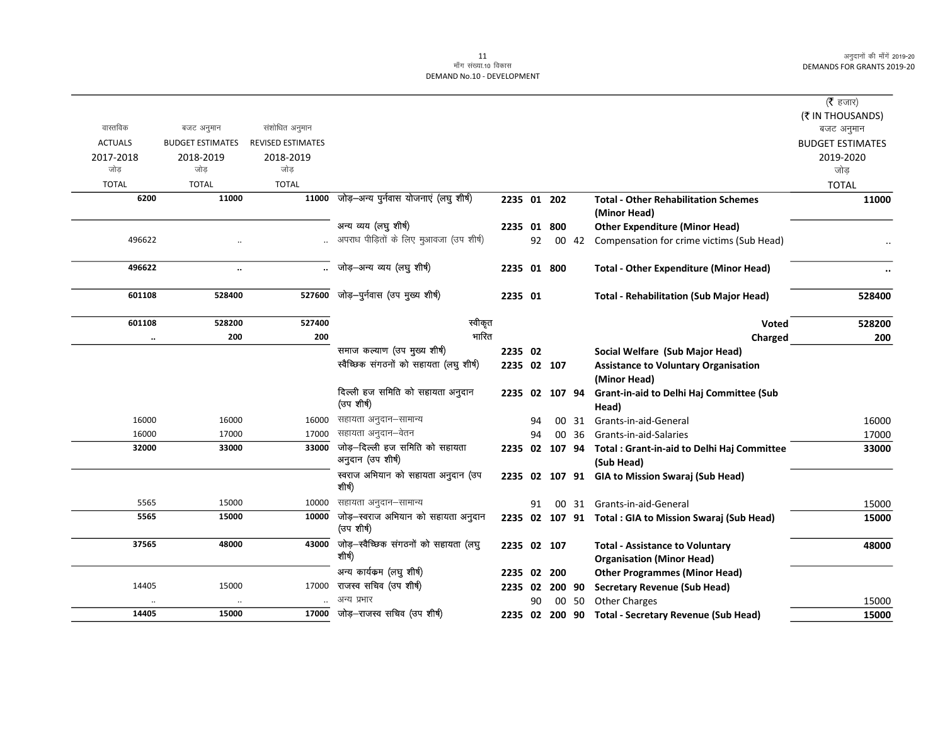|                |                         |                          |                                                   |             |    |                |       |                                                                            | ( $\bar{\tau}$ हजार)    |
|----------------|-------------------------|--------------------------|---------------------------------------------------|-------------|----|----------------|-------|----------------------------------------------------------------------------|-------------------------|
|                |                         |                          |                                                   |             |    |                |       |                                                                            | (₹ IN THOUSANDS)        |
| वास्तविक       | बजट अनुमान              | संशोधित अनुमान           |                                                   |             |    |                |       |                                                                            | बजट अनुमान              |
| <b>ACTUALS</b> | <b>BUDGET ESTIMATES</b> | <b>REVISED ESTIMATES</b> |                                                   |             |    |                |       |                                                                            | <b>BUDGET ESTIMATES</b> |
| 2017-2018      | 2018-2019               | 2018-2019                |                                                   |             |    |                |       |                                                                            | 2019-2020               |
| जोड            | जोड                     | जोड                      |                                                   |             |    |                |       |                                                                            | जोड़                    |
| <b>TOTAL</b>   | <b>TOTAL</b>            | <b>TOTAL</b>             |                                                   |             |    |                |       |                                                                            | <b>TOTAL</b>            |
| 6200           | 11000                   | 11000                    | जोड़–अन्य पुर्नवास योजनाएं (लघु शीर्ष)            | 2235 01 202 |    |                |       | <b>Total - Other Rehabilitation Schemes</b>                                | 11000                   |
|                |                         |                          |                                                   |             |    |                |       | (Minor Head)                                                               |                         |
|                |                         |                          | अन्य व्यय (लघु शीर्ष)                             |             |    | 2235 01 800    |       | <b>Other Expenditure (Minor Head)</b>                                      |                         |
| 496622         |                         |                          | अपराध पीड़ितों के लिए मुआवजा (उप शीर्ष)           |             | 92 |                | 00 42 | Compensation for crime victims (Sub Head)                                  |                         |
| 496622         | $\ldots$                | $\ddotsc$                | जोड़-अन्य व्यय (लघु शीर्ष)                        | 2235 01 800 |    |                |       | <b>Total - Other Expenditure (Minor Head)</b>                              |                         |
| 601108         | 528400                  | 527600                   | जोड़-पुर्नवास (उप मुख्य शीर्ष)                    | 2235 01     |    |                |       | <b>Total - Rehabilitation (Sub Major Head)</b>                             | 528400                  |
| 601108         | 528200                  | 527400                   | स्वीकृत                                           |             |    |                |       | Voted                                                                      | 528200                  |
| $\cdot\cdot$   | 200                     | 200                      | भारित                                             |             |    |                |       | Charged                                                                    | 200                     |
|                |                         |                          | समाज कल्याण (उप मुख्य शीर्ष)                      | 2235 02     |    |                |       | Social Welfare (Sub Major Head)                                            |                         |
|                |                         |                          | स्वैच्छिक संगठनों को सहायता (लघु शीर्ष)           |             |    | 2235 02 107    |       | <b>Assistance to Voluntary Organisation</b><br>(Minor Head)                |                         |
|                |                         |                          | दिल्ली हज समिति को सहायता अनुदान<br>(उप शीर्ष)    |             |    | 2235 02 107 94 |       | Grant-in-aid to Delhi Haj Committee (Sub<br>Head)                          |                         |
| 16000          | 16000                   | 16000                    | सहायता अनुदान–सामान्य                             |             | 94 |                | 00 31 | Grants-in-aid-General                                                      | 16000                   |
| 16000          | 17000                   | 17000                    | सहायता अनुदान–वेतन                                |             | 94 |                | 00 36 | Grants-in-aid-Salaries                                                     | 17000                   |
| 32000          | 33000                   | 33000                    | जोड़–दिल्ली हज समिति को सहायता                    |             |    |                |       | 2235 02 107 94 Total : Grant-in-aid to Delhi Haj Committee                 | 33000                   |
|                |                         |                          | अनुदान (उप शीर्ष)                                 |             |    |                |       | (Sub Head)                                                                 |                         |
|                |                         |                          | स्वराज अभियान को सहायता अनुदान (उप<br>शीर्ष)      |             |    |                |       | 2235 02 107 91 GIA to Mission Swaraj (Sub Head)                            |                         |
| 5565           | 15000                   | 10000                    | सहायता अनुदान–सामान्य                             |             | 91 |                |       | 00 31 Grants-in-aid-General                                                | 15000                   |
| 5565           | 15000                   | 10000                    | जोड़-स्वराज अभियान को सहायता अनुदान<br>(उप शीर्ष) |             |    |                |       | 2235 02 107 91 Total : GIA to Mission Swaraj (Sub Head)                    | 15000                   |
| 37565          | 48000                   | 43000                    | जोड़-स्वैच्छिक संगठनों को सहायता (लघु<br>शीर्ष)   | 2235 02 107 |    |                |       | <b>Total - Assistance to Voluntary</b><br><b>Organisation (Minor Head)</b> | 48000                   |
|                |                         |                          | अन्य कार्यक्रम (लघु शीर्ष)                        |             |    | 2235 02 200    |       | <b>Other Programmes (Minor Head)</b>                                       |                         |
| 14405          | 15000                   | 17000                    | राजस्व सचिव (उप शीर्ष)                            |             |    | 2235 02 200 90 |       | <b>Secretary Revenue (Sub Head)</b>                                        |                         |
| $\cdot$ .      |                         |                          | अन्य प्रभार                                       |             | 90 |                | 00 50 | <b>Other Charges</b>                                                       | 15000                   |
| 14405          | 15000                   | 17000                    | जोड़-राजस्व सचिव (उप शीर्ष)                       |             |    |                |       | 2235 02 200 90 Total - Secretary Revenue (Sub Head)                        | 15000                   |
|                |                         |                          |                                                   |             |    |                |       |                                                                            |                         |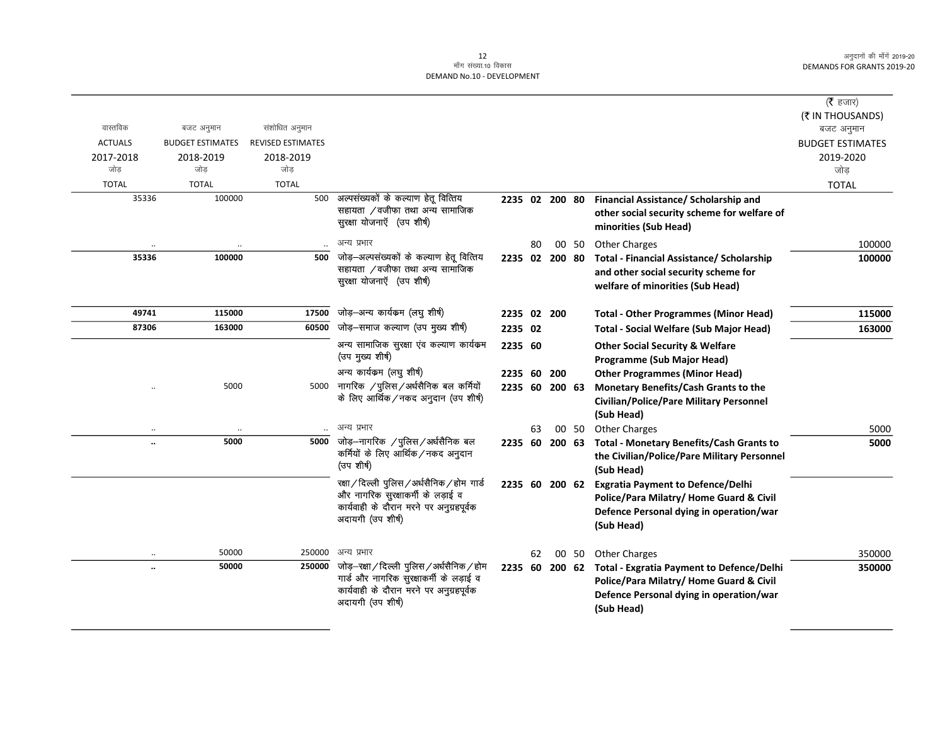| वास्तविक<br>संशोधित अनुमान<br>बजट अनुमान<br>बजट अनुमान<br><b>ACTUALS</b><br><b>BUDGET ESTIMATES</b><br><b>REVISED ESTIMATES</b><br><b>BUDGET ESTIMATES</b><br>2017-2018<br>2018-2019<br>2018-2019<br>2019-2020<br>जोड<br>जोड<br>जोड<br>जोड<br><b>TOTAL</b><br><b>TOTAL</b><br><b>TOTAL</b><br><b>TOTAL</b><br>अल्पसंख्यकों के कल्याण हेतू वित्तिय<br>35336<br>100000<br>500<br>Financial Assistance/ Scholarship and<br>2235 02 200 80<br>सहायता /वजीफा तथा अन्य सामाजिक<br>other social security scheme for welfare of<br>सुरक्षा योजनाएँ (उप शीर्ष)<br>minorities (Sub Head)<br>अन्य प्रभार<br><b>Other Charges</b><br>80<br>00 50<br>$\ddotsc$<br>जोड़-अल्पसंख्यकों के कल्याण हेतू वित्तिय<br>35336<br>100000<br>500<br>2235 02 200 80<br><b>Total - Financial Assistance/ Scholarship</b><br>सहायता ⁄वजीफा तथा अन्य सामाजिक<br>and other social security scheme for<br>सुरक्षा योजनाएँ (उप शीर्ष)<br>welfare of minorities (Sub Head)<br>जोड़–अन्य कार्यकम (लघु शीर्ष)<br>49741<br>115000<br>17500<br>2235 02 200<br><b>Total - Other Programmes (Minor Head)</b><br>जोड़-समाज कल्याण (उप मुख्य शीर्ष)<br>60500<br>87306<br>163000<br>2235 02<br><b>Total - Social Welfare (Sub Major Head)</b><br>अन्य सामाजिक सुरक्षा एंव कल्याण कार्यक्रम<br>2235 60<br><b>Other Social Security &amp; Welfare</b><br>(उप मुख्य शीर्ष)<br>Programme (Sub Major Head)<br>अन्य कार्यकम (लघु शीर्ष)<br>2235 60<br>200<br><b>Other Programmes (Minor Head)</b><br>नागरिक /पुलिस/अर्धसैनिक बल कर्मियों<br>5000<br>5000<br>2235 60 200 63<br>Monetary Benefits/Cash Grants to the<br>के लिए आर्थिक / नकद अनुदान (उप शीर्ष)<br><b>Civilian/Police/Pare Military Personnel</b><br>(Sub Head)<br>अन्य प्रभार<br><b>Other Charges</b><br>63<br>00 50<br>जोड़-नागरिक /पुलिस/अर्धसैनिक बल<br>5000<br>5000<br>2235 60 200 63<br><b>Total - Monetary Benefits/Cash Grants to</b><br>कर्मियों के लिए आर्थिक ⁄ नकद अनुदान<br>the Civilian/Police/Pare Military Personnel<br>(उप शीर्ष)<br>(Sub Head)<br>रक्षा/दिल्ली पुलिस/अर्धसैनिक/होम गार्ड<br>2235 60 200 62<br><b>Exgratia Payment to Defence/Delhi</b><br>और नागरिक सुरक्षाकर्मी के लड़ाई व<br>Police/Para Milatry/ Home Guard & Civil<br>कार्यवाही के दौरान मरने पर अनुग्रहपूर्वक<br>Defence Personal dying in operation/war<br>अदायगी (उप शीर्ष)<br>(Sub Head)<br>अन्य प्रभार<br>50000<br>250000<br><b>Other Charges</b><br>62<br>00 50<br>जोड़-रक्षा/दिल्ली पुलिस/अर्धसैनिक/होम<br>50000<br>250000<br><b>Total - Exgratia Payment to Defence/Delhi</b><br>2235 60 200 62<br>$\ddot{\phantom{a}}$<br>गार्ड और नागरिक सुरक्षाकर्मी के लड़ाई व<br>Police/Para Milatry/ Home Guard & Civil<br>कार्यवाही के दौरान मरने पर अनुग्रहपूर्वक<br>Defence Personal dying in operation/war<br>अदायगी (उप शीर्ष)<br>(Sub Head) |  |  |  |  | ( <b>रै</b> हजार) |
|--------------------------------------------------------------------------------------------------------------------------------------------------------------------------------------------------------------------------------------------------------------------------------------------------------------------------------------------------------------------------------------------------------------------------------------------------------------------------------------------------------------------------------------------------------------------------------------------------------------------------------------------------------------------------------------------------------------------------------------------------------------------------------------------------------------------------------------------------------------------------------------------------------------------------------------------------------------------------------------------------------------------------------------------------------------------------------------------------------------------------------------------------------------------------------------------------------------------------------------------------------------------------------------------------------------------------------------------------------------------------------------------------------------------------------------------------------------------------------------------------------------------------------------------------------------------------------------------------------------------------------------------------------------------------------------------------------------------------------------------------------------------------------------------------------------------------------------------------------------------------------------------------------------------------------------------------------------------------------------------------------------------------------------------------------------------------------------------------------------------------------------------------------------------------------------------------------------------------------------------------------------------------------------------------------------------------------------------------------------------------------------------------------------------------------------------------------------------------------------------------------------------------------------------------------------------------------------------------------------------------------------------------------------------------------------------------------------------------------------------------|--|--|--|--|-------------------|
|                                                                                                                                                                                                                                                                                                                                                                                                                                                                                                                                                                                                                                                                                                                                                                                                                                                                                                                                                                                                                                                                                                                                                                                                                                                                                                                                                                                                                                                                                                                                                                                                                                                                                                                                                                                                                                                                                                                                                                                                                                                                                                                                                                                                                                                                                                                                                                                                                                                                                                                                                                                                                                                                                                                                                  |  |  |  |  | (₹ IN THOUSANDS)  |
|                                                                                                                                                                                                                                                                                                                                                                                                                                                                                                                                                                                                                                                                                                                                                                                                                                                                                                                                                                                                                                                                                                                                                                                                                                                                                                                                                                                                                                                                                                                                                                                                                                                                                                                                                                                                                                                                                                                                                                                                                                                                                                                                                                                                                                                                                                                                                                                                                                                                                                                                                                                                                                                                                                                                                  |  |  |  |  |                   |
|                                                                                                                                                                                                                                                                                                                                                                                                                                                                                                                                                                                                                                                                                                                                                                                                                                                                                                                                                                                                                                                                                                                                                                                                                                                                                                                                                                                                                                                                                                                                                                                                                                                                                                                                                                                                                                                                                                                                                                                                                                                                                                                                                                                                                                                                                                                                                                                                                                                                                                                                                                                                                                                                                                                                                  |  |  |  |  |                   |
|                                                                                                                                                                                                                                                                                                                                                                                                                                                                                                                                                                                                                                                                                                                                                                                                                                                                                                                                                                                                                                                                                                                                                                                                                                                                                                                                                                                                                                                                                                                                                                                                                                                                                                                                                                                                                                                                                                                                                                                                                                                                                                                                                                                                                                                                                                                                                                                                                                                                                                                                                                                                                                                                                                                                                  |  |  |  |  |                   |
|                                                                                                                                                                                                                                                                                                                                                                                                                                                                                                                                                                                                                                                                                                                                                                                                                                                                                                                                                                                                                                                                                                                                                                                                                                                                                                                                                                                                                                                                                                                                                                                                                                                                                                                                                                                                                                                                                                                                                                                                                                                                                                                                                                                                                                                                                                                                                                                                                                                                                                                                                                                                                                                                                                                                                  |  |  |  |  |                   |
|                                                                                                                                                                                                                                                                                                                                                                                                                                                                                                                                                                                                                                                                                                                                                                                                                                                                                                                                                                                                                                                                                                                                                                                                                                                                                                                                                                                                                                                                                                                                                                                                                                                                                                                                                                                                                                                                                                                                                                                                                                                                                                                                                                                                                                                                                                                                                                                                                                                                                                                                                                                                                                                                                                                                                  |  |  |  |  |                   |
|                                                                                                                                                                                                                                                                                                                                                                                                                                                                                                                                                                                                                                                                                                                                                                                                                                                                                                                                                                                                                                                                                                                                                                                                                                                                                                                                                                                                                                                                                                                                                                                                                                                                                                                                                                                                                                                                                                                                                                                                                                                                                                                                                                                                                                                                                                                                                                                                                                                                                                                                                                                                                                                                                                                                                  |  |  |  |  |                   |
|                                                                                                                                                                                                                                                                                                                                                                                                                                                                                                                                                                                                                                                                                                                                                                                                                                                                                                                                                                                                                                                                                                                                                                                                                                                                                                                                                                                                                                                                                                                                                                                                                                                                                                                                                                                                                                                                                                                                                                                                                                                                                                                                                                                                                                                                                                                                                                                                                                                                                                                                                                                                                                                                                                                                                  |  |  |  |  | 100000            |
|                                                                                                                                                                                                                                                                                                                                                                                                                                                                                                                                                                                                                                                                                                                                                                                                                                                                                                                                                                                                                                                                                                                                                                                                                                                                                                                                                                                                                                                                                                                                                                                                                                                                                                                                                                                                                                                                                                                                                                                                                                                                                                                                                                                                                                                                                                                                                                                                                                                                                                                                                                                                                                                                                                                                                  |  |  |  |  | 100000            |
|                                                                                                                                                                                                                                                                                                                                                                                                                                                                                                                                                                                                                                                                                                                                                                                                                                                                                                                                                                                                                                                                                                                                                                                                                                                                                                                                                                                                                                                                                                                                                                                                                                                                                                                                                                                                                                                                                                                                                                                                                                                                                                                                                                                                                                                                                                                                                                                                                                                                                                                                                                                                                                                                                                                                                  |  |  |  |  | 115000            |
|                                                                                                                                                                                                                                                                                                                                                                                                                                                                                                                                                                                                                                                                                                                                                                                                                                                                                                                                                                                                                                                                                                                                                                                                                                                                                                                                                                                                                                                                                                                                                                                                                                                                                                                                                                                                                                                                                                                                                                                                                                                                                                                                                                                                                                                                                                                                                                                                                                                                                                                                                                                                                                                                                                                                                  |  |  |  |  | 163000            |
|                                                                                                                                                                                                                                                                                                                                                                                                                                                                                                                                                                                                                                                                                                                                                                                                                                                                                                                                                                                                                                                                                                                                                                                                                                                                                                                                                                                                                                                                                                                                                                                                                                                                                                                                                                                                                                                                                                                                                                                                                                                                                                                                                                                                                                                                                                                                                                                                                                                                                                                                                                                                                                                                                                                                                  |  |  |  |  |                   |
|                                                                                                                                                                                                                                                                                                                                                                                                                                                                                                                                                                                                                                                                                                                                                                                                                                                                                                                                                                                                                                                                                                                                                                                                                                                                                                                                                                                                                                                                                                                                                                                                                                                                                                                                                                                                                                                                                                                                                                                                                                                                                                                                                                                                                                                                                                                                                                                                                                                                                                                                                                                                                                                                                                                                                  |  |  |  |  |                   |
|                                                                                                                                                                                                                                                                                                                                                                                                                                                                                                                                                                                                                                                                                                                                                                                                                                                                                                                                                                                                                                                                                                                                                                                                                                                                                                                                                                                                                                                                                                                                                                                                                                                                                                                                                                                                                                                                                                                                                                                                                                                                                                                                                                                                                                                                                                                                                                                                                                                                                                                                                                                                                                                                                                                                                  |  |  |  |  |                   |
|                                                                                                                                                                                                                                                                                                                                                                                                                                                                                                                                                                                                                                                                                                                                                                                                                                                                                                                                                                                                                                                                                                                                                                                                                                                                                                                                                                                                                                                                                                                                                                                                                                                                                                                                                                                                                                                                                                                                                                                                                                                                                                                                                                                                                                                                                                                                                                                                                                                                                                                                                                                                                                                                                                                                                  |  |  |  |  |                   |
|                                                                                                                                                                                                                                                                                                                                                                                                                                                                                                                                                                                                                                                                                                                                                                                                                                                                                                                                                                                                                                                                                                                                                                                                                                                                                                                                                                                                                                                                                                                                                                                                                                                                                                                                                                                                                                                                                                                                                                                                                                                                                                                                                                                                                                                                                                                                                                                                                                                                                                                                                                                                                                                                                                                                                  |  |  |  |  |                   |
|                                                                                                                                                                                                                                                                                                                                                                                                                                                                                                                                                                                                                                                                                                                                                                                                                                                                                                                                                                                                                                                                                                                                                                                                                                                                                                                                                                                                                                                                                                                                                                                                                                                                                                                                                                                                                                                                                                                                                                                                                                                                                                                                                                                                                                                                                                                                                                                                                                                                                                                                                                                                                                                                                                                                                  |  |  |  |  | 5000              |
|                                                                                                                                                                                                                                                                                                                                                                                                                                                                                                                                                                                                                                                                                                                                                                                                                                                                                                                                                                                                                                                                                                                                                                                                                                                                                                                                                                                                                                                                                                                                                                                                                                                                                                                                                                                                                                                                                                                                                                                                                                                                                                                                                                                                                                                                                                                                                                                                                                                                                                                                                                                                                                                                                                                                                  |  |  |  |  | 5000              |
|                                                                                                                                                                                                                                                                                                                                                                                                                                                                                                                                                                                                                                                                                                                                                                                                                                                                                                                                                                                                                                                                                                                                                                                                                                                                                                                                                                                                                                                                                                                                                                                                                                                                                                                                                                                                                                                                                                                                                                                                                                                                                                                                                                                                                                                                                                                                                                                                                                                                                                                                                                                                                                                                                                                                                  |  |  |  |  |                   |
|                                                                                                                                                                                                                                                                                                                                                                                                                                                                                                                                                                                                                                                                                                                                                                                                                                                                                                                                                                                                                                                                                                                                                                                                                                                                                                                                                                                                                                                                                                                                                                                                                                                                                                                                                                                                                                                                                                                                                                                                                                                                                                                                                                                                                                                                                                                                                                                                                                                                                                                                                                                                                                                                                                                                                  |  |  |  |  | 350000            |
|                                                                                                                                                                                                                                                                                                                                                                                                                                                                                                                                                                                                                                                                                                                                                                                                                                                                                                                                                                                                                                                                                                                                                                                                                                                                                                                                                                                                                                                                                                                                                                                                                                                                                                                                                                                                                                                                                                                                                                                                                                                                                                                                                                                                                                                                                                                                                                                                                                                                                                                                                                                                                                                                                                                                                  |  |  |  |  | 350000            |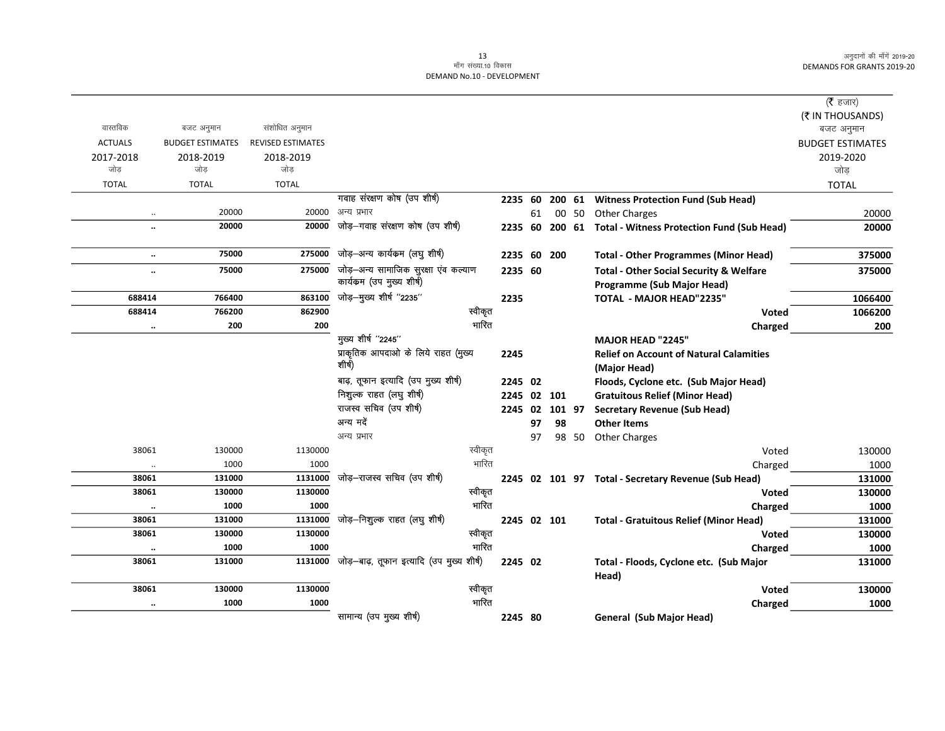|                      |                         |                          |                                           |         |                |    |     |       |                                                       | ( $\bar{\tau}$ हजार)           |
|----------------------|-------------------------|--------------------------|-------------------------------------------|---------|----------------|----|-----|-------|-------------------------------------------------------|--------------------------------|
| वास्तविक             | बजट अनुमान              | संशोधित अनुमान           |                                           |         |                |    |     |       |                                                       | (₹ IN THOUSANDS)<br>बजट अनुमान |
| <b>ACTUALS</b>       | <b>BUDGET ESTIMATES</b> | <b>REVISED ESTIMATES</b> |                                           |         |                |    |     |       |                                                       | <b>BUDGET ESTIMATES</b>        |
| 2017-2018            | 2018-2019               | 2018-2019                |                                           |         |                |    |     |       |                                                       | 2019-2020                      |
| जोड                  | जोड                     | जोड़                     |                                           |         |                |    |     |       |                                                       | जोड़                           |
| <b>TOTAL</b>         | <b>TOTAL</b>            | <b>TOTAL</b>             |                                           |         |                |    |     |       |                                                       | <b>TOTAL</b>                   |
|                      |                         |                          | गवाह संरक्षण कोष (उप शीर्ष)               |         | 2235 60        |    |     |       | 200 61 Witness Protection Fund (Sub Head)             |                                |
|                      | 20000                   | 20000                    | अन्य प्रभार                               |         |                | 61 |     | 00 50 | <b>Other Charges</b>                                  | 20000                          |
|                      | 20000                   | 20000                    | जोड़—गवाह संरक्षण कोष (उप शीर्ष)          |         | 2235 60        |    |     |       | 200 61 Total - Witness Protection Fund (Sub Head)     | 20000                          |
| $\ddotsc$            | 75000                   | 275000                   | जोड़-अन्य कार्यकम (लघु शीर्ष)             |         | 2235 60        |    | 200 |       | <b>Total - Other Programmes (Minor Head)</b>          | 375000                         |
|                      | 75000                   | 275000                   | जोड़-अन्य सामाजिक सुरक्षा एंव कल्याण      |         | 2235 60        |    |     |       | <b>Total - Other Social Security &amp; Welfare</b>    | 375000                         |
|                      |                         |                          | कार्यकम (उप मुख्य शीर्ष)                  |         |                |    |     |       | Programme (Sub Major Head)                            |                                |
| 688414               | 766400                  | 863100                   | जोड़-मुख्य शीर्ष "2235"                   |         | 2235           |    |     |       | <b>TOTAL - MAJOR HEAD"2235"</b>                       | 1066400                        |
| 688414               | 766200                  | 862900                   |                                           | स्वीकृत |                |    |     |       | <b>Voted</b>                                          | 1066200                        |
| $\ldots$             | 200                     | 200                      | मुख्य शीर्ष "2245"                        | भारित   |                |    |     |       | Charged                                               | 200                            |
|                      |                         |                          | प्राकृतिक आपदाओं के लिये राहत (मुख्य      |         |                |    |     |       | <b>MAJOR HEAD "2245"</b>                              |                                |
|                      |                         |                          | शीर्ष)                                    |         | 2245           |    |     |       | <b>Relief on Account of Natural Calamities</b>        |                                |
|                      |                         |                          | बाढ़, तूफान इत्यादि (उप मुख्य शीर्ष)      |         | 2245 02        |    |     |       | (Major Head)<br>Floods, Cyclone etc. (Sub Major Head) |                                |
|                      |                         |                          | निशुल्क राहत (लघु शीर्ष)                  |         | 2245 02 101    |    |     |       | <b>Gratuitous Relief (Minor Head)</b>                 |                                |
|                      |                         |                          | राजस्व सचिव (उप शीर्ष)                    |         | 2245 02 101 97 |    |     |       | <b>Secretary Revenue (Sub Head)</b>                   |                                |
|                      |                         |                          | अन्य मदें                                 |         |                | 97 | 98  |       | <b>Other Items</b>                                    |                                |
|                      |                         |                          | अन्य प्रभार                               |         |                | 97 |     | 98 50 | <b>Other Charges</b>                                  |                                |
| 38061                | 130000                  | 1130000                  |                                           | स्वीकृत |                |    |     |       | Voted                                                 | 130000                         |
| $\ddot{\phantom{0}}$ | 1000                    | 1000                     |                                           | भारित   |                |    |     |       | Charged                                               | 1000                           |
| 38061                | 131000                  | 1131000                  | जोड़-राजस्व सचिव (उप शीर्ष)               |         |                |    |     |       | 2245 02 101 97 Total - Secretary Revenue (Sub Head)   | 131000                         |
| 38061                | 130000                  | 1130000                  |                                           | स्वीकृत |                |    |     |       | <b>Voted</b>                                          | 130000                         |
| $\ldots$             | 1000                    | 1000                     |                                           | भारित   |                |    |     |       | Charged                                               | 1000                           |
| 38061                | 131000                  | 1131000                  | जोड़–निशुल्क राहत (लघु शीर्ष)             |         | 2245 02 101    |    |     |       | <b>Total - Gratuitous Relief (Minor Head)</b>         | 131000                         |
| 38061                | 130000                  | 1130000                  |                                           | स्वीकृत |                |    |     |       | <b>Voted</b>                                          | 130000                         |
| $\cdot\cdot$         | 1000                    | 1000                     |                                           | भारित   |                |    |     |       | Charged                                               | 1000                           |
| 38061                | 131000                  | 1131000                  | जोड़-बाढ़, तूफान इत्यादि (उप मुख्य शीर्ष) |         | 2245 02        |    |     |       | Total - Floods, Cyclone etc. (Sub Major<br>Head)      | 131000                         |
| 38061                | 130000                  | 1130000                  |                                           | स्वीकृत |                |    |     |       | Voted                                                 | 130000                         |
| $\ldots$             | 1000                    | 1000                     |                                           | भारित   |                |    |     |       | Charged                                               | 1000                           |
|                      |                         |                          | सामान्य (उप मुख्य शीर्ष)                  |         | 2245 80        |    |     |       | General (Sub Major Head)                              |                                |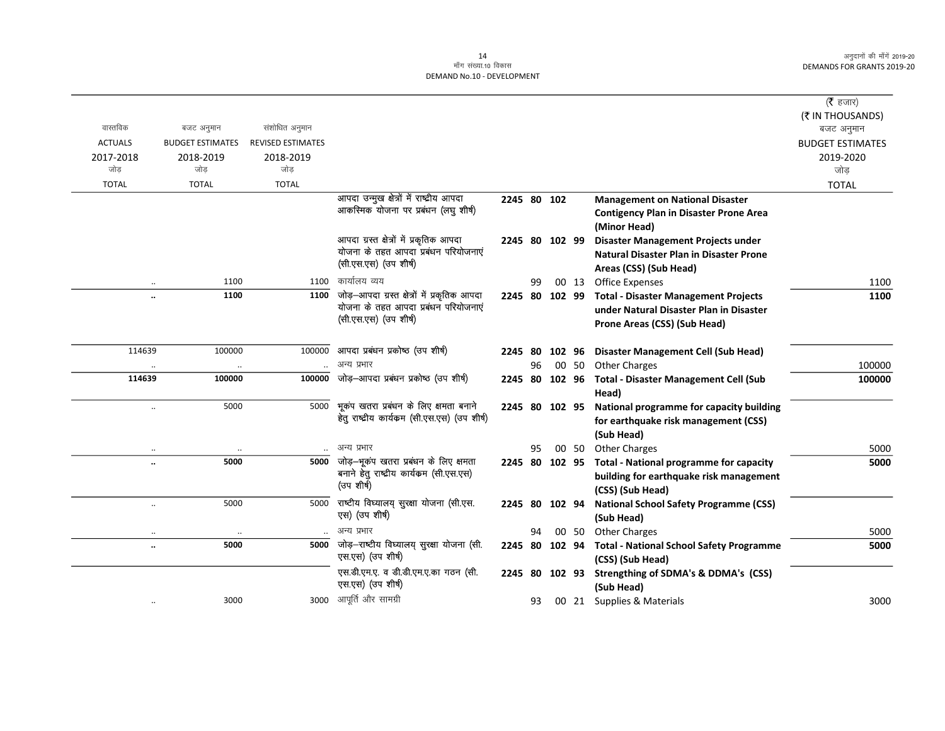$\overline{\phantom{0}}$ 

|                                   |                         |                          |                                              |                |    |       |                                                             | ( $\bar{\tau}$ हजार)           |
|-----------------------------------|-------------------------|--------------------------|----------------------------------------------|----------------|----|-------|-------------------------------------------------------------|--------------------------------|
| वास्तविक                          | बजट अनुमान              | संशोधित अनुमान           |                                              |                |    |       |                                                             | (₹ IN THOUSANDS)<br>बजट अनुमान |
| <b>ACTUALS</b>                    | <b>BUDGET ESTIMATES</b> | <b>REVISED ESTIMATES</b> |                                              |                |    |       |                                                             | <b>BUDGET ESTIMATES</b>        |
| 2017-2018                         | 2018-2019               | 2018-2019                |                                              |                |    |       |                                                             | 2019-2020                      |
| जोड                               | जोड                     | जोड                      |                                              |                |    |       |                                                             | जोड                            |
| <b>TOTAL</b>                      | <b>TOTAL</b>            | <b>TOTAL</b>             |                                              |                |    |       |                                                             | <b>TOTAL</b>                   |
|                                   |                         |                          | आपदा उन्मुख क्षेत्रों में राष्ट्रीय आपदा     | 2245 80 102    |    |       | <b>Management on National Disaster</b>                      |                                |
|                                   |                         |                          | आकस्मिक योजना पर प्रबंधन (लघु शीर्ष)         |                |    |       | <b>Contigency Plan in Disaster Prone Area</b>               |                                |
|                                   |                         |                          |                                              |                |    |       | (Minor Head)                                                |                                |
|                                   |                         |                          | आपदा ग्रस्त क्षेत्रों में प्रकृतिक आपदा      | 2245 80 102 99 |    |       | Disaster Management Projects under                          |                                |
|                                   |                         |                          | योजना के तहत आपदा प्रबंधन परियोजनाएं         |                |    |       | <b>Natural Disaster Plan in Disaster Prone</b>              |                                |
|                                   |                         |                          | (सी.एस.एस) (उप शीर्ष)                        |                |    |       | Areas (CSS) (Sub Head)                                      |                                |
| $\ddotsc$                         | 1100                    | 1100                     | कार्यालय व्यय                                |                | 99 | 00 13 | <b>Office Expenses</b>                                      | 1100                           |
| $\ddot{\phantom{a}}$              | 1100                    | 1100                     | जोड़-आपदा ग्रस्त क्षेत्रों में प्रकृतिक आपदा | 2245 80 102 99 |    |       | <b>Total - Disaster Management Projects</b>                 | 1100                           |
|                                   |                         |                          | योजना के तहत आपदा प्रबंधन परियोजनाएं         |                |    |       | under Natural Disaster Plan in Disaster                     |                                |
|                                   |                         |                          | (सी.एस.एस) (उप शीर्ष)                        |                |    |       | Prone Areas (CSS) (Sub Head)                                |                                |
|                                   |                         |                          |                                              |                |    |       |                                                             |                                |
| 114639                            | 100000                  | 100000                   | आपदा प्रबंधन प्रकोष्ठ (उप शीर्ष)             | 2245 80 102 96 |    |       | <b>Disaster Management Cell (Sub Head)</b>                  |                                |
| $\ddotsc$                         | $\ldots$                |                          | अन्य प्रभार                                  |                | 96 | 00 50 | <b>Other Charges</b>                                        | 100000                         |
| 114639                            | 100000                  | 100000                   | जोड़-आपदा प्रबंधन प्रकोष्ठ (उप शीर्ष)        | 2245 80 102 96 |    |       | <b>Total - Disaster Management Cell (Sub</b>                | 100000                         |
|                                   |                         |                          | भूकंप खतरा प्रबंधन के लिए क्षमता बनाने       |                |    |       | Head)                                                       |                                |
| $\ldots$                          | 5000                    | 5000                     | हेतु राष्ट्रीय कार्यकम (सी.एस.एस) (उप शीर्ष) | 2245 80 102 95 |    |       | National programme for capacity building                    |                                |
|                                   |                         |                          |                                              |                |    |       | for earthquake risk management (CSS)                        |                                |
|                                   |                         |                          | अन्य प्रभार                                  |                |    |       | (Sub Head)                                                  |                                |
| $\cdot\cdot$                      | 5000                    | 5000                     | जोड़—भूकंप खतरा प्रबंधन के लिए क्षमता        |                | 95 |       | 00 50 Other Charges                                         | 5000<br>5000                   |
| $\ddot{\phantom{a}}$              |                         |                          | बनाने हेतु राष्ट्रीय कार्यकम (सी.एस.एस)      | 2245 80 102 95 |    |       | <b>Total - National programme for capacity</b>              |                                |
|                                   |                         |                          | (उप शीर्ष)                                   |                |    |       | building for earthquake risk management<br>(CSS) (Sub Head) |                                |
|                                   | 5000                    | 5000                     | राष्टीय विघ्यालय् सुरक्षा योजना (सी.एस.      | 2245 80 102 94 |    |       | <b>National School Safety Programme (CSS)</b>               |                                |
| $\ldots$                          |                         |                          | एस) (उप शीर्ष)                               |                |    |       | (Sub Head)                                                  |                                |
|                                   |                         |                          | अन्य प्रभार                                  |                | 94 | 00 50 | <b>Other Charges</b>                                        | 5000                           |
| $\ddotsc$<br>$\ddot{\phantom{a}}$ | $\cdot\cdot$<br>5000    | 5000                     | जोड़-राष्टीय विघ्यालय् सुरक्षा योजना (सी.    | 2245 80 102 94 |    |       | <b>Total - National School Safety Programme</b>             | 5000                           |
|                                   |                         |                          | एस.एस) (उप शीर्ष)                            |                |    |       | (CSS) (Sub Head)                                            |                                |
|                                   |                         |                          | एस.डी.एम.ए. व डी.डी.एम.ए.का गठन (सी.         | 2245 80 102 93 |    |       | Strengthing of SDMA's & DDMA's (CSS)                        |                                |
|                                   |                         |                          | एस.एस) (उप शीर्ष)                            |                |    |       | (Sub Head)                                                  |                                |
|                                   | 3000                    |                          | 3000 आपूर्ति और सामग्री                      |                | 93 |       | 00 21 Supplies & Materials                                  | 3000                           |
|                                   |                         |                          |                                              |                |    |       |                                                             |                                |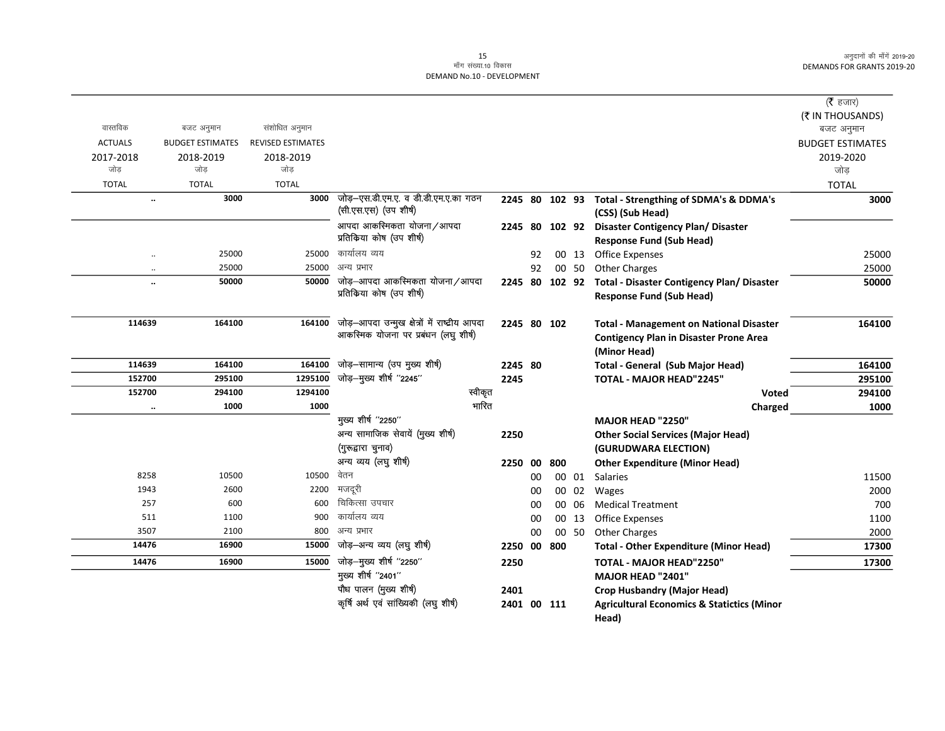### 15<br>मॉंग संख्या.10 विकास DEMAND No.10 - DEVELOPMENT

|                      |                         |                          | पौध पालन (मुख्य शीर्ष)                                                                | 2401        |    |                |       | <b>Crop Husbandry (Major Head)</b>                                           |                         |
|----------------------|-------------------------|--------------------------|---------------------------------------------------------------------------------------|-------------|----|----------------|-------|------------------------------------------------------------------------------|-------------------------|
|                      |                         |                          | मुख्य शीर्ष "2401"                                                                    |             |    |                |       | MAJOR HEAD "2401"                                                            |                         |
| 14476                | 16900                   | 15000                    | जोड़-मुख्य शीर्ष "2250"                                                               | 2250        |    |                |       | TOTAL - MAJOR HEAD"2250"                                                     | 17300                   |
| 14476                | 16900                   | 15000                    | जोड़—अन्य व्यय (लघु शीर्ष)                                                            | 2250 00 800 |    |                |       | <b>Total - Other Expenditure (Minor Head)</b>                                | 17300                   |
| 3507                 | 2100                    | 800                      | अन्य प्रभार                                                                           |             | 00 |                | 00 50 | <b>Other Charges</b>                                                         | 2000                    |
| 511                  | 1100                    | 900                      | कार्यालय व्यय                                                                         |             | 00 |                | 00 13 | <b>Office Expenses</b>                                                       | 1100                    |
| 257                  | 600                     | 600                      | चिकित्सा उपचार                                                                        |             | 00 | 00             | 06    | <b>Medical Treatment</b>                                                     | 700                     |
| 1943                 | 2600                    | 2200                     | मजदूरी                                                                                |             | 00 | 00             | 02    | Wages                                                                        | 2000                    |
| 8258                 | 10500                   | 10500                    | वेतन                                                                                  |             | 00 |                | 00 01 | <b>Salaries</b>                                                              | 11500                   |
|                      |                         |                          | अन्य व्यय (लघु शीर्ष)                                                                 | 2250 00     |    | 800            |       | <b>Other Expenditure (Minor Head)</b>                                        |                         |
|                      |                         |                          | (गुरूद्वारा चुनाव)                                                                    |             |    |                |       | (GURUDWARA ELECTION)                                                         |                         |
|                      |                         |                          | अन्य सामाजिक सेवायें (मुख्य शीर्ष)                                                    | 2250        |    |                |       | <b>Other Social Services (Major Head)</b>                                    |                         |
|                      |                         |                          | मुख्य शीर्ष "2250"                                                                    |             |    |                |       | MAJOR HEAD "2250"                                                            |                         |
| $\cdot\cdot$         | 1000                    | 1000                     | भारित                                                                                 |             |    |                |       | Charged                                                                      | 1000                    |
| 152700               | 294100                  | 1294100                  | स्वीकृत                                                                               |             |    |                |       | Voted                                                                        | 294100                  |
| 152700               | 295100                  | 1295100                  | जोड़-मुख्य शीर्ष "2245"                                                               | 2245        |    |                |       | <b>TOTAL - MAJOR HEAD"2245"</b>                                              | 295100                  |
| 114639               | 164100                  | 164100                   | जोड़-सामान्य (उप मुख्य शीर्ष)                                                         | 2245 80     |    |                |       | <b>Total - General (Sub Major Head)</b>                                      | 164100                  |
|                      |                         |                          |                                                                                       |             |    |                |       | <b>Contigency Plan in Disaster Prone Area</b><br>(Minor Head)                |                         |
| 114639               | 164100                  | 164100                   | जोड़-आपदा उन्मुख क्षेत्रों में राष्ट्रीय आपदा<br>आकस्मिक योजना पर प्रबंधन (लघु शीर्ष) | 2245 80 102 |    |                |       | <b>Total - Management on National Disaster</b>                               | 164100                  |
|                      |                         |                          |                                                                                       |             |    |                |       |                                                                              |                         |
|                      |                         |                          | प्रतिकिया कोष (उप शीर्ष)                                                              |             |    |                |       | <b>Response Fund (Sub Head)</b>                                              |                         |
| $\ldots$             | 50000                   | 50000                    | जोड़–आपदा आकस्मिकता योजना/आपदा                                                        |             |    | 2245 80 102 92 |       | Total - Disaster Contigency Plan/ Disaster                                   | 50000                   |
| $\ddotsc$            | 25000                   | 25000                    | अन्य प्रभार                                                                           |             | 92 |                | 00 50 | <b>Other Charges</b>                                                         | 25000                   |
| $\ddot{\phantom{0}}$ | 25000                   | 25000                    | कार्यालय व्यय                                                                         |             | 92 |                | 00 13 | <b>Office Expenses</b>                                                       | 25000                   |
|                      |                         |                          | आपदा आकस्मिकता योजना/आपदा<br>प्रतिकिया कोष (उप शीर्ष)                                 |             |    | 2245 80 102 92 |       | <b>Disaster Contigency Plan/ Disaster</b><br><b>Response Fund (Sub Head)</b> |                         |
|                      |                         |                          | (सी.एस.एस) (उप शीर्ष)                                                                 |             |    |                |       | (CSS) (Sub Head)                                                             |                         |
| $\ldots$             | 3000                    | 3000                     | जोड़–एस.डी.एम.ए. व डी.डी.एम.ए.का गठन                                                  |             |    |                |       | 2245 80 102 93 Total - Strengthing of SDMA's & DDMA's                        | 3000                    |
| <b>TOTAL</b>         | <b>TOTAL</b>            | <b>TOTAL</b>             |                                                                                       |             |    |                |       |                                                                              | <b>TOTAL</b>            |
| जोड                  | जोड                     | जोड                      |                                                                                       |             |    |                |       |                                                                              | जोड़                    |
| 2017-2018            | 2018-2019               | 2018-2019                |                                                                                       |             |    |                |       |                                                                              | 2019-2020               |
| <b>ACTUALS</b>       | <b>BUDGET ESTIMATES</b> | <b>REVISED ESTIMATES</b> |                                                                                       |             |    |                |       |                                                                              | <b>BUDGET ESTIMATES</b> |
| वास्तविक             | बजट अनुमान              | संशोधित अनुमान           |                                                                                       |             |    |                |       |                                                                              | बजट अनुमान              |
|                      |                         |                          |                                                                                       |             |    |                |       |                                                                              | (₹ IN THOUSANDS)        |
|                      |                         |                          |                                                                                       |             |    |                |       |                                                                              | ( <b>रै</b> हजार)       |

Head)

कृषि अर्थ एवं सांख्यिकी (लघु शीर्ष) 2401 00 111 Agricultural Economics & Statictics (Minor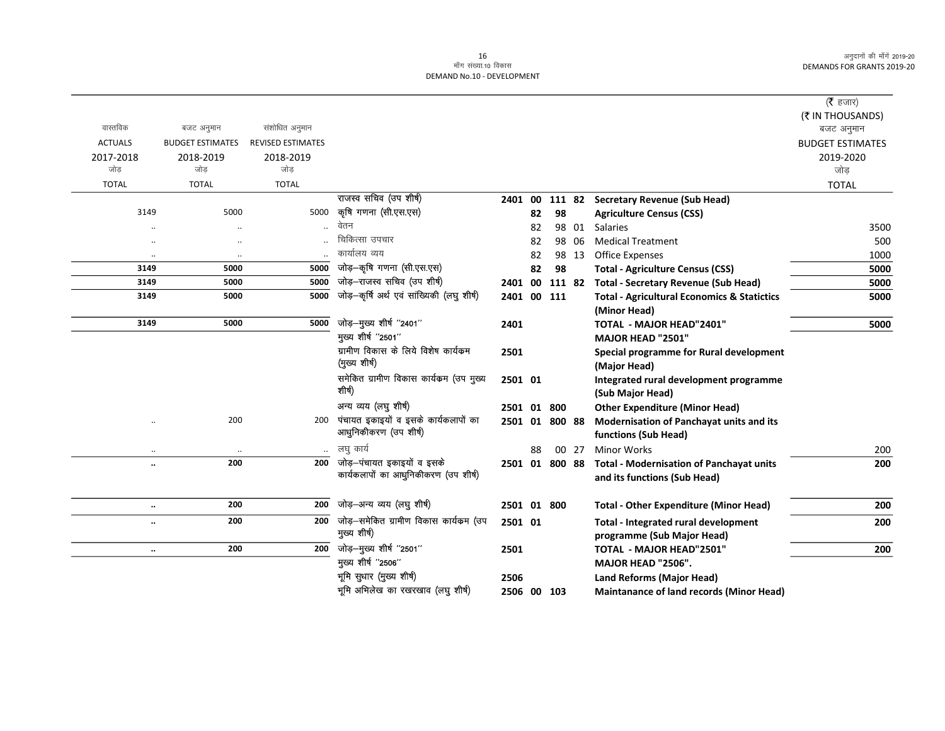|                      |                         |                          |                                           |                |    |        |       |                                                        | ( $\bar{\tau}$ हजार)    |
|----------------------|-------------------------|--------------------------|-------------------------------------------|----------------|----|--------|-------|--------------------------------------------------------|-------------------------|
|                      |                         |                          |                                           |                |    |        |       |                                                        | (₹ IN THOUSANDS)        |
| वास्तविक             | बजट अनुमान              | संशोधित अनुमान           |                                           |                |    |        |       |                                                        | बजट अनुमान              |
| <b>ACTUALS</b>       | <b>BUDGET ESTIMATES</b> | <b>REVISED ESTIMATES</b> |                                           |                |    |        |       |                                                        | <b>BUDGET ESTIMATES</b> |
| 2017-2018            | 2018-2019               | 2018-2019                |                                           |                |    |        |       |                                                        | 2019-2020               |
| जोड                  | जोड                     | जोड                      |                                           |                |    |        |       |                                                        | जोड                     |
| <b>TOTAL</b>         | <b>TOTAL</b>            | <b>TOTAL</b>             |                                           |                |    |        |       |                                                        | <b>TOTAL</b>            |
|                      |                         |                          | राजस्व सचिव (उप शीर्ष)                    | 2401 00        |    |        |       | 111 82 Secretary Revenue (Sub Head)                    |                         |
| 3149                 | 5000                    | 5000                     | कृषि गणना (सी.एस.एस)                      |                | 82 | 98     |       | <b>Agriculture Census (CSS)</b>                        |                         |
|                      |                         |                          | वेतन                                      |                | 82 |        | 98 01 | Salaries                                               | 3500                    |
|                      | $\ddotsc$               |                          | चिकित्सा उपचार                            |                | 82 | 98     | 06    | <b>Medical Treatment</b>                               | 500                     |
| $\ddotsc$            | $\ddot{\phantom{a}}$    |                          | कार्यालय व्यय                             |                | 82 |        | 98 13 | <b>Office Expenses</b>                                 | 1000                    |
| 3149                 | 5000                    | 5000                     | जोड़-कृषि गणना (सी.एस.एस)                 |                | 82 | 98     |       | <b>Total - Agriculture Census (CSS)</b>                | 5000                    |
| 3149                 | 5000                    | 5000                     | जोड़–राजस्व सचिव (उप शीर्ष)               | 2401 00        |    | 111 82 |       | <b>Total - Secretary Revenue (Sub Head)</b>            | 5000                    |
| 3149                 | 5000                    | 5000                     | जोड़—कर्षि अर्थ एवं सांख्यिकी (लघु शीर्ष) | 2401 00 111    |    |        |       | <b>Total - Agricultural Economics &amp; Statictics</b> | 5000                    |
|                      |                         |                          |                                           |                |    |        |       | (Minor Head)                                           |                         |
| 3149                 | 5000                    | 5000                     | जोड़-मुख्य शीर्ष "2401"                   | 2401           |    |        |       | <b>TOTAL - MAJOR HEAD"2401"</b>                        | 5000                    |
|                      |                         |                          | मुख्य शीर्ष "2501"                        |                |    |        |       | MAJOR HEAD "2501"                                      |                         |
|                      |                         |                          | ग्रामीण विकास के लिये विशेष कार्यक्रम     | 2501           |    |        |       | Special programme for Rural development                |                         |
|                      |                         |                          | (मुख्य शीर्ष)                             |                |    |        |       | (Major Head)                                           |                         |
|                      |                         |                          | समेकित ग्रामीण विकास कार्यक्रम (उप मुख्य  | 2501 01        |    |        |       | Integrated rural development programme                 |                         |
|                      |                         |                          | शीर्ष)                                    |                |    |        |       | (Sub Major Head)                                       |                         |
|                      |                         |                          | अन्य व्यय (लघु शीर्ष)                     | 2501 01        |    | 800    |       | <b>Other Expenditure (Minor Head)</b>                  |                         |
| $\ddotsc$            | 200                     | 200                      | पंचायत इकाइयों व इसके कार्यकलापों का      | 2501 01 800 88 |    |        |       | Modernisation of Panchayat units and its               |                         |
|                      |                         |                          | आधुनिकीकरण (उप शीर्ष)                     |                |    |        |       | functions (Sub Head)                                   |                         |
|                      |                         |                          | लघु कार्य                                 |                | 88 |        | 00 27 | <b>Minor Works</b>                                     | 200                     |
| $\ddot{\phantom{a}}$ | 200                     | 200                      | जोड़–पंचायत इकाइयों व इसके                | 2501 01 800 88 |    |        |       | <b>Total - Modernisation of Panchayat units</b>        | 200                     |
|                      |                         |                          | कार्यकलापों का आधुनिकीकरण (उप शीर्ष)      |                |    |        |       | and its functions (Sub Head)                           |                         |
|                      |                         |                          |                                           |                |    |        |       |                                                        |                         |
| $\ddot{\phantom{0}}$ | 200                     | 200                      | जोड़–अन्य व्यय (लघु शीर्ष)                | 2501 01 800    |    |        |       | <b>Total - Other Expenditure (Minor Head)</b>          | 200                     |
| $\ddot{\phantom{a}}$ | 200                     | 200                      | जोड़–समेकित ग्रामीण विकास कार्यक्रम (उप   | 2501 01        |    |        |       | Total - Integrated rural development                   | 200                     |
|                      |                         |                          | मुख्य शीर्ष)                              |                |    |        |       | programme (Sub Major Head)                             |                         |
| $\ldots$             | 200                     | 200                      | जोड़-मुख्य शीर्ष "2501"                   | 2501           |    |        |       | <b>TOTAL - MAJOR HEAD"2501"</b>                        | 200                     |
|                      |                         |                          | मुख्य शीर्ष "2506"                        |                |    |        |       | <b>MAJOR HEAD "2506".</b>                              |                         |
|                      |                         |                          | भूमि सुधार (मुख्य शीर्ष)                  | 2506           |    |        |       | Land Reforms (Major Head)                              |                         |
|                      |                         |                          | भूमि अभिलेख का रखरखाव (लघु शीर्ष)         | 2506 00 103    |    |        |       | <b>Maintanance of land records (Minor Head)</b>        |                         |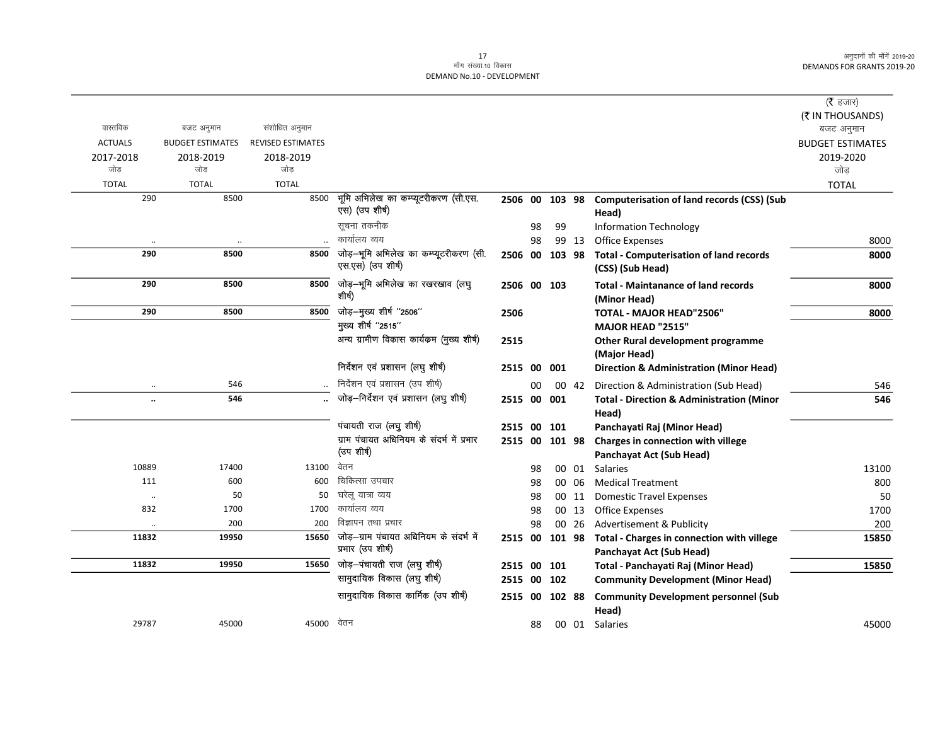$\overline{\phantom{0}}$ 

|                      |                         |                          |                                                              |                |    |           |       |                                                                        | ( $\bar{\tau}$ हजार)           |
|----------------------|-------------------------|--------------------------|--------------------------------------------------------------|----------------|----|-----------|-------|------------------------------------------------------------------------|--------------------------------|
| वास्तविक             | बजट अनुमान              | संशोधित अनुमान           |                                                              |                |    |           |       |                                                                        | (₹ IN THOUSANDS)<br>बजट अनुमान |
| <b>ACTUALS</b>       | <b>BUDGET ESTIMATES</b> | <b>REVISED ESTIMATES</b> |                                                              |                |    |           |       |                                                                        | <b>BUDGET ESTIMATES</b>        |
| 2017-2018            | 2018-2019               | 2018-2019                |                                                              |                |    |           |       |                                                                        | 2019-2020                      |
| जोड                  | जोड                     | जोड                      |                                                              |                |    |           |       |                                                                        | जोड                            |
| <b>TOTAL</b>         | <b>TOTAL</b>            | <b>TOTAL</b>             |                                                              |                |    |           |       |                                                                        | <b>TOTAL</b>                   |
| 290                  | 8500                    | 8500                     | भूमि अभिलेख का कम्प्यूटरीकरण (सी.एस.<br>एस) (उप शीर्ष)       | 2506 00 103 98 |    |           |       | <b>Computerisation of land records (CSS) (Sub</b><br>Head)             |                                |
|                      |                         |                          | सूचना तकनीक                                                  |                | 98 | 99        |       | <b>Information Technology</b>                                          |                                |
| $\cdot\cdot$         | $\ddotsc$               |                          | कार्यालय व्यय                                                |                | 98 |           | 99 13 | <b>Office Expenses</b>                                                 | 8000                           |
| 290                  | 8500                    | 8500                     | जोड़-भूमि अभिलेख का कम्प्यूटरीकरण (सी.                       | 2506           |    | 00 103 98 |       | <b>Total - Computerisation of land records</b>                         | 8000                           |
|                      |                         |                          | एस.एस) (उप शीर्ष)                                            |                |    |           |       | (CSS) (Sub Head)                                                       |                                |
| 290                  | 8500                    | 8500                     | जोड़-भूमि अभिलेख का रखरखाव (लघु<br>शीर्ष)                    | 2506 00 103    |    |           |       | <b>Total - Maintanance of land records</b><br>(Minor Head)             | 8000                           |
| 290                  | 8500                    | 8500                     | जोड़-मुख्य शीर्ष "2506"                                      | 2506           |    |           |       | TOTAL - MAJOR HEAD"2506"                                               | 8000                           |
|                      |                         |                          | मुख्य शीर्ष "2515"                                           |                |    |           |       | <b>MAJOR HEAD "2515"</b>                                               |                                |
|                      |                         |                          | अन्य ग्रामीण विकास कार्यक्रम (मुख्य शीर्ष)                   | 2515           |    |           |       | Other Rural development programme                                      |                                |
|                      |                         |                          |                                                              |                |    |           |       | (Major Head)                                                           |                                |
|                      |                         |                          | निर्देशन एवं प्रशासन (लघु शीर्ष)                             | 2515 00        |    | 001       |       | <b>Direction &amp; Administration (Minor Head)</b>                     |                                |
| $\cdot\cdot$         | 546                     |                          | निर्देशन एवं प्रशासन (उप शीर्ष)                              |                | 00 |           | 00 42 | Direction & Administration (Sub Head)                                  | 546                            |
| $\ddotsc$            | 546                     |                          | जोड़-निर्देशन एवं प्रशासन (लघु शीर्ष)                        | 2515 00 001    |    |           |       | <b>Total - Direction &amp; Administration (Minor</b><br>Head)          | 546                            |
|                      |                         |                          | पंचायती राज (लघु शीर्ष)                                      | 2515 00 101    |    |           |       | Panchayati Raj (Minor Head)                                            |                                |
|                      |                         |                          | ग्राम पंचायत अधिनियम के संदर्भ में प्रभार<br>(उप शीर्ष)      | 2515 00 101 98 |    |           |       | Charges in connection with villege<br><b>Panchayat Act (Sub Head)</b>  |                                |
| 10889                | 17400                   | 13100                    | वेतन                                                         |                | 98 |           | 00 01 | <b>Salaries</b>                                                        | 13100                          |
| 111                  | 600                     | 600                      | चिकित्सा उपचार                                               |                | 98 |           | 00 06 | <b>Medical Treatment</b>                                               | 800                            |
| $\ddot{\phantom{a}}$ | 50                      | 50                       | घरेलू यात्रा व्यय                                            |                | 98 |           | 00 11 | <b>Domestic Travel Expenses</b>                                        | 50                             |
| 832                  | 1700                    | 1700                     | कार्यालय व्यय                                                |                | 98 |           | 00 13 | <b>Office Expenses</b>                                                 | 1700                           |
| $\ddot{\phantom{0}}$ | 200                     | 200                      | विज्ञापन तथा प्रचार                                          |                | 98 |           | 00 26 | Advertisement & Publicity                                              | 200                            |
| 11832                | 19950                   | 15650                    | जोड़—ग्राम पंचायत अधिनियम के संदर्भ में<br>प्रभार (उप शीर्ष) | 2515 00 101 98 |    |           |       | Total - Charges in connection with villege<br>Panchayat Act (Sub Head) | 15850                          |
| 11832                | 19950                   | 15650                    | जोड़-पंचायती राज (लघु शीर्ष)                                 | 2515 00 101    |    |           |       | Total - Panchayati Raj (Minor Head)                                    | 15850                          |
|                      |                         |                          | सामुदायिक विकास (लघु शीर्ष)                                  | 2515 00 102    |    |           |       | <b>Community Development (Minor Head)</b>                              |                                |
|                      |                         |                          | सामुदायिक विकास कार्मिक (उप शीर्ष)                           | 2515 00 102 88 |    |           |       | <b>Community Development personnel (Sub</b>                            |                                |
|                      |                         |                          |                                                              |                |    |           |       | Head)                                                                  |                                |
| 29787                | 45000                   | 45000                    | वेतन                                                         |                | 88 |           |       | 00 01 Salaries                                                         | 45000                          |
|                      |                         |                          |                                                              |                |    |           |       |                                                                        |                                |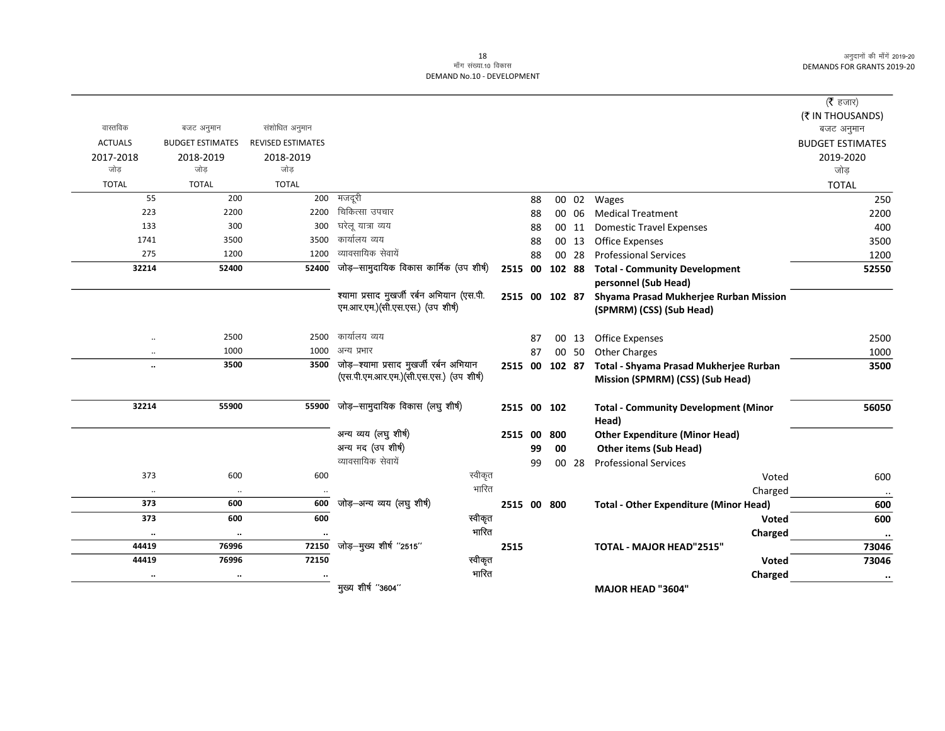| ( <b>रै</b> हजार)       |                                               |                |             |      |                                            |                          |                         |                   |
|-------------------------|-----------------------------------------------|----------------|-------------|------|--------------------------------------------|--------------------------|-------------------------|-------------------|
| (₹ IN THOUSANDS)        |                                               |                |             |      |                                            |                          |                         |                   |
| बजट अनुमान              |                                               |                |             |      |                                            | संशोधित अनुमान           | बजट अनुमान              | वास्तविक          |
| <b>BUDGET ESTIMATES</b> |                                               |                |             |      |                                            | <b>REVISED ESTIMATES</b> | <b>BUDGET ESTIMATES</b> | <b>ACTUALS</b>    |
| 2019-2020               |                                               |                |             |      |                                            | 2018-2019                | 2018-2019               | 2017-2018         |
| जोड                     |                                               |                |             |      |                                            | जोड                      | जोड                     | जोड               |
| <b>TOTAL</b>            |                                               |                |             |      |                                            | <b>TOTAL</b>             | <b>TOTAL</b>            | <b>TOTAL</b>      |
| 250                     | Wages                                         | 00 02          | 88          |      | मजदूरी                                     | 200                      | 200                     | 55                |
| 2200                    | <b>Medical Treatment</b>                      | 00 06          | 88          |      | चिकित्सा उपचार                             | 2200                     | 2200                    | 223               |
| 400                     | <b>Domestic Travel Expenses</b>               | 00 11          | 88          |      | घरेलू यात्रा व्यय                          | 300                      | 300                     | 133               |
| 3500                    | <b>Office Expenses</b>                        | 00 13          | 88          |      | कार्यालय व्यय                              | 3500                     | 3500                    | 1741              |
| 1200                    | <b>Professional Services</b>                  | 00 28          | 88          |      | व्यावसायिक सेवायें                         | 1200                     | 1200                    | 275               |
| 52550                   | <b>Total - Community Development</b>          | 2515 00 102 88 |             |      | जोड़-सामुदायिक विकास कार्मिक (उप शीर्ष)    | 52400                    | 52400                   | 32214             |
|                         | personnel (Sub Head)                          |                |             |      |                                            |                          |                         |                   |
|                         | Shyama Prasad Mukherjee Rurban Mission        | 2515 00 102 87 |             |      | श्यामा प्रसाद मुखर्जी रर्बन अभियान (एस.पी. |                          |                         |                   |
|                         | (SPMRM) (CSS) (Sub Head)                      |                |             |      | एम.आर.एम.) (सी.एस.एस.) (उप शीर्ष)          |                          |                         |                   |
| 2500                    | <b>Office Expenses</b>                        | 00 13          | 87          |      | कार्यालय व्यय                              | 2500                     | 2500                    | $\ddotsc$         |
| 1000                    | <b>Other Charges</b>                          | 00 50          | 87          |      | अन्य प्रभार                                | 1000                     | 1000                    | $\ddotsc$         |
| 3500                    | Total - Shyama Prasad Mukherjee Rurban        | 2515 00 102 87 |             |      | जोड़-श्यामा प्रसाद मुखर्जी रर्बन अभियान    | 3500                     | 3500                    |                   |
|                         | Mission (SPMRM) (CSS) (Sub Head)              |                |             |      | (एस.पी.एम.आर.एम.)(सी.एस.एस.) (उप शीर्ष)    |                          |                         |                   |
| 56050                   | <b>Total - Community Development (Minor</b>   |                | 2515 00 102 |      | जोड़-सामुदायिक विकास (लघु शीर्ष)           | 55900                    | 55900                   | 32214             |
|                         | Head)                                         |                |             |      |                                            |                          |                         |                   |
|                         | <b>Other Expenditure (Minor Head)</b>         | 800            | 2515 00     |      | अन्य व्यय (लघु शीर्ष)                      |                          |                         |                   |
|                         | <b>Other items (Sub Head)</b>                 | 00             | 99          |      | अन्य मद (उप शीर्ष)                         |                          |                         |                   |
|                         | <b>Professional Services</b>                  | 00 28          | 99          |      | व्यावसायिक सेवायें                         |                          |                         |                   |
| 600                     | Voted                                         |                |             |      | स्वीकृत                                    | 600                      | 600                     | 373               |
|                         | Charged                                       |                |             |      | भारित                                      |                          |                         |                   |
| 600                     | <b>Total - Other Expenditure (Minor Head)</b> |                | 2515 00 800 |      | जोड़–अन्य व्यय (लघु शीर्ष)                 | 600                      | 600                     | 373               |
| 600                     | Voted                                         |                |             |      | स्वीकृत                                    | 600                      | 600                     | 373               |
|                         |                                               |                |             |      | भारित                                      |                          |                         |                   |
| $\ddotsc$<br>73046      | Charged<br><b>TOTAL - MAJOR HEAD"2515"</b>    |                |             | 2515 | जोड़-मुख्य शीर्ष "2515"                    | 72150                    | $\cdot\cdot$<br>76996   | $\cdots$<br>44419 |
|                         |                                               |                |             |      | स्वीकृत                                    | 72150                    | 76996                   | 44419             |
| 73046                   | Voted                                         |                |             |      | भारित                                      |                          |                         |                   |
| $\ddot{\phantom{a}}$    | Charged                                       |                |             |      | मुख्य शीर्ष "3604"                         |                          | $\ddotsc$               | $\ddotsc$         |
|                         | <b>MAJOR HEAD "3604"</b>                      |                |             |      |                                            |                          |                         |                   |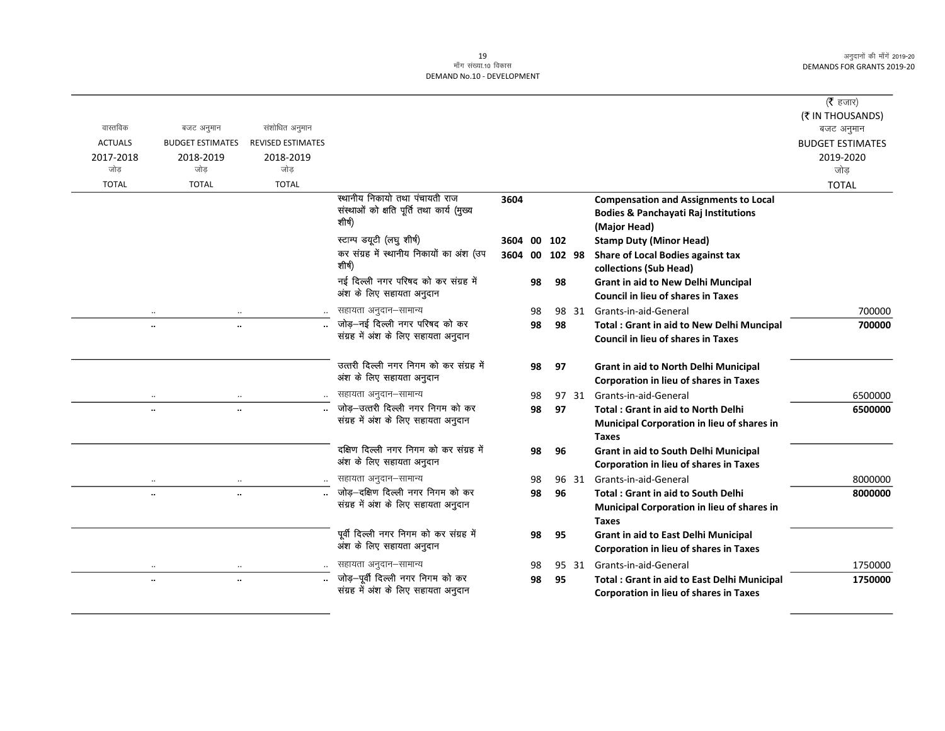|                |                                              |                          |                                                                       |             |    |           |       |                                                    | ( $\bar{\tau}$ हजार)           |
|----------------|----------------------------------------------|--------------------------|-----------------------------------------------------------------------|-------------|----|-----------|-------|----------------------------------------------------|--------------------------------|
| वास्तविक       | बजट अनुमान                                   | संशोधित अनुमान           |                                                                       |             |    |           |       |                                                    | (₹ IN THOUSANDS)<br>बजट अनुमान |
| <b>ACTUALS</b> | <b>BUDGET ESTIMATES</b>                      | <b>REVISED ESTIMATES</b> |                                                                       |             |    |           |       |                                                    | <b>BUDGET ESTIMATES</b>        |
| 2017-2018      | 2018-2019                                    | 2018-2019                |                                                                       |             |    |           |       |                                                    | 2019-2020                      |
| जोड            | जोड                                          | जोड                      |                                                                       |             |    |           |       |                                                    | जोड                            |
| <b>TOTAL</b>   | <b>TOTAL</b>                                 | <b>TOTAL</b>             |                                                                       |             |    |           |       |                                                    | <b>TOTAL</b>                   |
|                |                                              |                          | स्थानीय निकायो तथा पंचायती राज                                        | 3604        |    |           |       | <b>Compensation and Assignments to Local</b>       |                                |
|                |                                              |                          | संस्थाओं को क्षति पूर्ति तथा कार्य (मुख्य                             |             |    |           |       | <b>Bodies &amp; Panchayati Raj Institutions</b>    |                                |
|                |                                              |                          | शीर्ष)                                                                |             |    |           |       | (Major Head)                                       |                                |
|                |                                              |                          | स्टाम्प डयूटी (लघु शीर्ष)                                             | 3604 00 102 |    |           |       | <b>Stamp Duty (Minor Head)</b>                     |                                |
|                |                                              |                          | कर संग्रह में स्थानीय निकायों का अंश (उप                              | 3604        |    | 00 102 98 |       | Share of Local Bodies against tax                  |                                |
|                |                                              |                          | शीर्ष)                                                                |             |    |           |       | collections (Sub Head)                             |                                |
|                |                                              |                          | नई दिल्ली नगर परिषद को कर संग्रह में                                  |             | 98 | 98        |       | Grant in aid to New Delhi Muncipal                 |                                |
|                |                                              |                          | अंश के लिए सहायता अनुदान                                              |             |    |           |       | <b>Council in lieu of shares in Taxes</b>          |                                |
|                |                                              |                          | सहायता अनुदान–सामान्य                                                 |             | 98 |           | 98 31 | Grants-in-aid-General                              | 700000                         |
|                | $\ddotsc$<br>                                |                          | जोड़-नई दिल्ली नगर परिषद को कर<br>संग्रह में अंश के लिए सहायता अनुदान |             | 98 | 98        |       | <b>Total: Grant in aid to New Delhi Muncipal</b>   | 700000                         |
|                |                                              |                          |                                                                       |             |    |           |       | <b>Council in lieu of shares in Taxes</b>          |                                |
|                |                                              |                          | उत्तरी दिल्ली नगर निगम को कर संग्रह में                               |             | 98 | 97        |       | Grant in aid to North Delhi Municipal              |                                |
|                |                                              |                          | अंश के लिए सहायता अनुदान                                              |             |    |           |       | Corporation in lieu of shares in Taxes             |                                |
|                |                                              |                          | सहायता अनुदान-सामान्य                                                 |             | 98 |           | 97 31 | Grants-in-aid-General                              | 6500000                        |
|                | $\ddot{\phantom{a}}$<br>$\ddot{\phantom{a}}$ |                          | जोड़-उत्तरी दिल्ली नगर निगम को कर                                     |             | 98 | 97        |       | <b>Total: Grant in aid to North Delhi</b>          | 6500000                        |
|                |                                              |                          | संग्रह में अंश के लिए सहायता अनुदान                                   |             |    |           |       | Municipal Corporation in lieu of shares in         |                                |
|                |                                              |                          |                                                                       |             |    |           |       | <b>Taxes</b>                                       |                                |
|                |                                              |                          | दक्षिण दिल्ली नगर निगम को कर संग्रह में                               |             | 98 | 96        |       | Grant in aid to South Delhi Municipal              |                                |
|                |                                              |                          | अंश के लिए सहायता अनुदान                                              |             |    |           |       | <b>Corporation in lieu of shares in Taxes</b>      |                                |
|                | $\ldots$<br>$\ldots$                         |                          | सहायता अनुदान–सामान्य                                                 |             | 98 |           | 96 31 | Grants-in-aid-General                              | 8000000                        |
|                | $\ddotsc$<br>$\ddotsc$                       |                          | जोड़-दक्षिण दिल्ली नगर निगम को कर                                     |             | 98 | 96        |       | <b>Total: Grant in aid to South Delhi</b>          | 8000000                        |
|                |                                              |                          | संग्रह में अंश के लिए सहायता अनुदान                                   |             |    |           |       | Municipal Corporation in lieu of shares in         |                                |
|                |                                              |                          |                                                                       |             |    |           |       | <b>Taxes</b>                                       |                                |
|                |                                              |                          | पूर्वी दिल्ली नगर निगम को कर संग्रह में                               |             | 98 | 95        |       | Grant in aid to East Delhi Municipal               |                                |
|                |                                              |                          | अंश के लिए सहायता अनुदान                                              |             |    |           |       | <b>Corporation in lieu of shares in Taxes</b>      |                                |
|                |                                              |                          | सहायता अनुदान–सामान्य                                                 |             | 98 |           | 95 31 | Grants-in-aid-General                              | 1750000                        |
|                | $\ddot{\phantom{a}}$<br>$\ddot{\phantom{a}}$ |                          | जोड़-पूर्वी दिल्ली नगर निगम को कर                                     |             | 98 | 95        |       | <b>Total: Grant in aid to East Delhi Municipal</b> | 1750000                        |
|                |                                              |                          | संग्रह में अंश के लिए सहायता अनुदान                                   |             |    |           |       | <b>Corporation in lieu of shares in Taxes</b>      |                                |
|                |                                              |                          |                                                                       |             |    |           |       |                                                    |                                |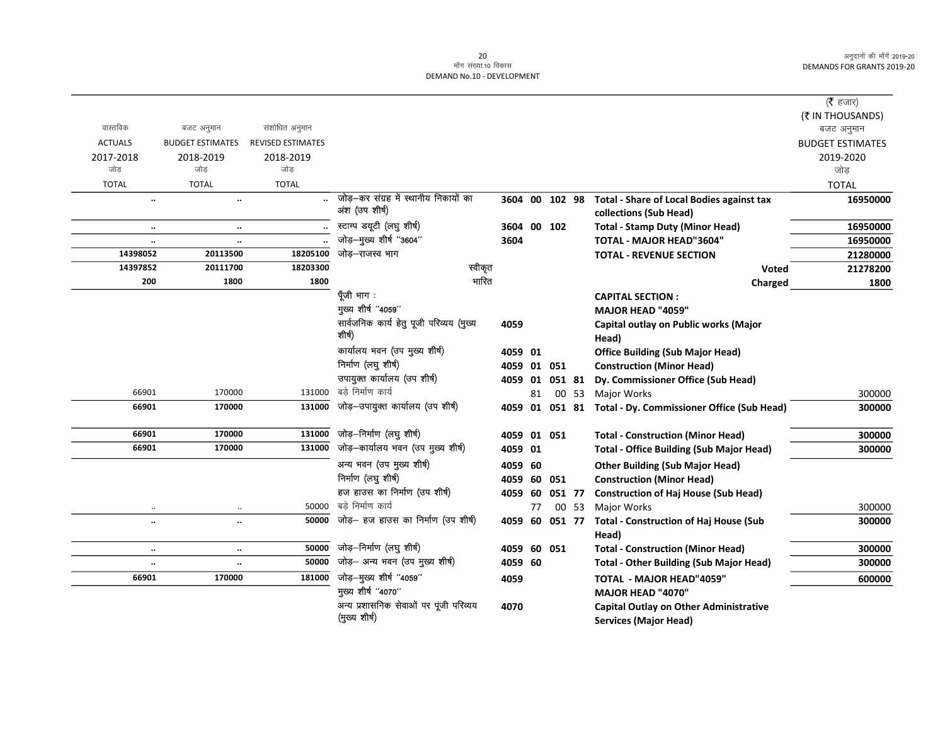$\overline{\phantom{0}}$ 

|                      |                         |                          |                                          |             |    |                |       |                                                           | ( $\bar{\tau}$ हजार)                  |
|----------------------|-------------------------|--------------------------|------------------------------------------|-------------|----|----------------|-------|-----------------------------------------------------------|---------------------------------------|
| वास्तविक             | बजट अनुमान              | संशोधित अनुमान           |                                          |             |    |                |       |                                                           | (₹ IN THOUSANDS)                      |
| <b>ACTUALS</b>       | <b>BUDGET ESTIMATES</b> | <b>REVISED ESTIMATES</b> |                                          |             |    |                |       |                                                           | बजट अनुमान<br><b>BUDGET ESTIMATES</b> |
|                      |                         |                          |                                          |             |    |                |       |                                                           |                                       |
| 2017-2018<br>जोड     | 2018-2019<br>जोड        | 2018-2019<br>जोड         |                                          |             |    |                |       |                                                           | 2019-2020<br>जोड                      |
| <b>TOTAL</b>         | <b>TOTAL</b>            | <b>TOTAL</b>             |                                          |             |    |                |       |                                                           | <b>TOTAL</b>                          |
| $\ddot{\phantom{a}}$ | $\ddotsc$               |                          | जोड़–कर संग्रह में स्थानीय निकायों का    |             |    | 3604 00 102 98 |       | <b>Total - Share of Local Bodies against tax</b>          | 16950000                              |
|                      |                         |                          | अंश (उप शीर्ष)                           |             |    |                |       | collections (Sub Head)                                    |                                       |
| $\ddotsc$            | $\ddotsc$               |                          | स्टाम्प डयूटी (लघु शीर्ष)                | 3604 00 102 |    |                |       | <b>Total - Stamp Duty (Minor Head)</b>                    | 16950000                              |
| $\ldots$             | $\ddotsc$               |                          | जोड़-मुख्य शीर्ष "3604"                  | 3604        |    |                |       | TOTAL - MAJOR HEAD"3604"                                  | 16950000                              |
| 14398052             | 20113500                | 18205100                 | जोड़-राजस्व भाग                          |             |    |                |       | <b>TOTAL - REVENUE SECTION</b>                            | 21280000                              |
| 14397852             | 20111700                | 18203300                 | स्वीकृत                                  |             |    |                |       | Voted                                                     | 21278200                              |
| 200                  | 1800                    | 1800                     | भारित                                    |             |    |                |       | Charged                                                   | 1800                                  |
|                      |                         |                          | पूँजी भाग:                               |             |    |                |       | <b>CAPITAL SECTION:</b>                                   |                                       |
|                      |                         |                          | मुख्य शीर्ष "4059"                       |             |    |                |       | MAJOR HEAD "4059"                                         |                                       |
|                      |                         |                          | सार्वजनिक कार्य हेतु पूजी परिव्यय (मुख्य | 4059        |    |                |       | Capital outlay on Public works (Major                     |                                       |
|                      |                         |                          | शीर्ष)                                   |             |    |                |       | Head)                                                     |                                       |
|                      |                         |                          | कार्यालय भवन (उप मुख्य शीर्ष)            | 4059 01     |    |                |       | <b>Office Building (Sub Major Head)</b>                   |                                       |
|                      |                         |                          | निर्माण (लघु शीर्ष)                      | 4059 01 051 |    |                |       | <b>Construction (Minor Head)</b>                          |                                       |
|                      |                         |                          | उपायुक्त कार्यालय (उप शीर्ष)             | 4059 01     |    | 051 81         |       | Dy. Commissioner Office (Sub Head)                        |                                       |
| 66901                | 170000                  | 131000                   | बडे निर्माण कार्य                        |             | 81 |                | 00 53 | <b>Major Works</b>                                        | 300000                                |
| 66901                | 170000                  | 131000                   | जोड़—उपायुक्त कार्यालय (उप शीर्ष)        |             |    |                |       | 4059 01 051 81 Total - Dy. Commissioner Office (Sub Head) | 300000                                |
| 66901                | 170000                  | 131000                   | जोड़–निर्माण (लघु शीर्ष)                 | 4059 01 051 |    |                |       | <b>Total - Construction (Minor Head)</b>                  | 300000                                |
| 66901                | 170000                  | 131000                   | जोड़-कार्यालय भवन (उप मुख्य शीर्ष)       | 4059 01     |    |                |       | <b>Total - Office Building (Sub Major Head)</b>           | 300000                                |
|                      |                         |                          | अन्य भवन (उप मुख्य शीर्ष)                | 4059 60     |    |                |       | <b>Other Building (Sub Major Head)</b>                    |                                       |
|                      |                         |                          | निर्माण (लघु शीर्ष)                      | 4059 60 051 |    |                |       | <b>Construction (Minor Head)</b>                          |                                       |
|                      |                         |                          | हज हाउस का निर्माण (उप शीर्ष)            | 4059 60     |    | 051 77         |       | <b>Construction of Haj House (Sub Head)</b>               |                                       |
| $\ddotsc$            | $\ldots$                | 50000                    | बडे निर्माण कार्य                        |             | 77 |                | 00 53 | Major Works                                               | 300000                                |
| $\ldots$             | $\ddot{\phantom{a}}$    | 50000                    | जोड़– हज हाउस का निर्माण (उप शीर्ष)      | 4059        | 60 | 051 77         |       | <b>Total - Construction of Haj House (Sub</b>             | 300000                                |
|                      |                         |                          |                                          |             |    |                |       | Head)                                                     |                                       |
| $\cdot\cdot$         | $\ddotsc$               | 50000                    | जोड़–निर्माण (लघु शीर्ष)                 | 4059 60 051 |    |                |       | <b>Total - Construction (Minor Head)</b>                  | 300000                                |
| $\ddotsc$            | $\ldots$                | 50000                    | जोड़- अन्य भवन (उप मुख्य शीर्ष)          | 4059 60     |    |                |       | <b>Total - Other Building (Sub Major Head)</b>            | 300000                                |
| 66901                | 170000                  | 181000                   | जोड़-मुख्य शीर्ष "4059"                  | 4059        |    |                |       | TOTAL - MAJOR HEAD"4059"                                  | 600000                                |
|                      |                         |                          | मुख्य शीर्ष "4070"                       |             |    |                |       | MAJOR HEAD "4070"                                         |                                       |
|                      |                         |                          | अन्य प्रशासनिक सेवाओं पर पूंजी परिव्यय   | 4070        |    |                |       | <b>Capital Outlay on Other Administrative</b>             |                                       |
|                      |                         |                          | (मुख्य शीर्ष)                            |             |    |                |       | <b>Services (Major Head)</b>                              |                                       |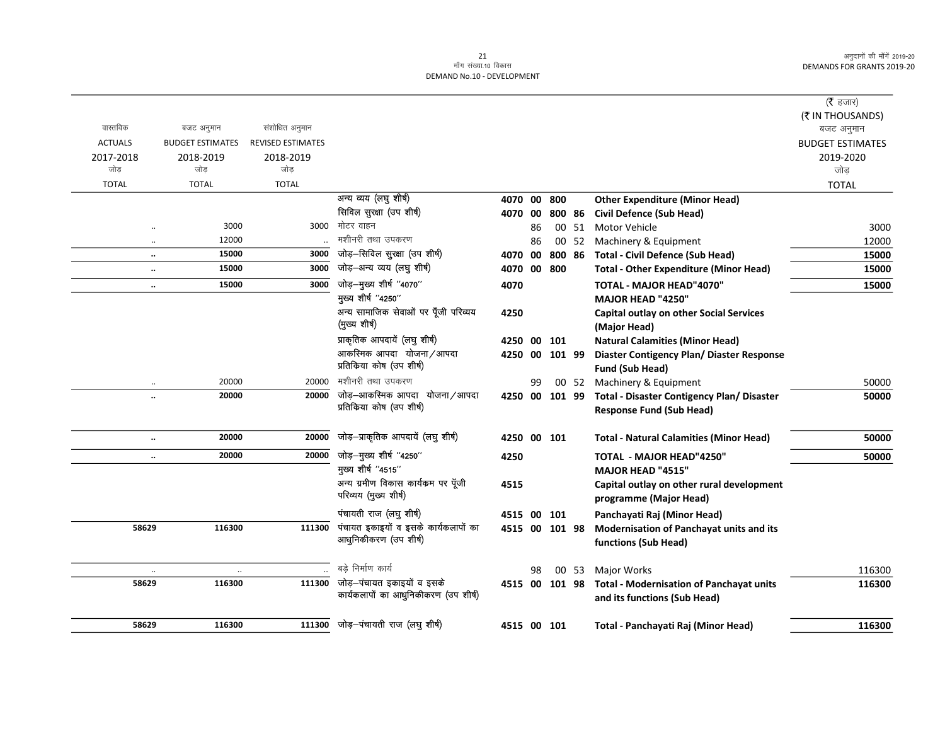|                      |                         |                          |                                      |                |    |        |       |                                                 | (रै हजार)               |
|----------------------|-------------------------|--------------------------|--------------------------------------|----------------|----|--------|-------|-------------------------------------------------|-------------------------|
|                      |                         |                          |                                      |                |    |        |       |                                                 | (₹ IN THOUSANDS)        |
| वास्तविक             | बजट अनुमान              | संशोधित अनुमान           |                                      |                |    |        |       |                                                 | बजट अनुमान              |
| <b>ACTUALS</b>       | <b>BUDGET ESTIMATES</b> | <b>REVISED ESTIMATES</b> |                                      |                |    |        |       |                                                 | <b>BUDGET ESTIMATES</b> |
|                      |                         |                          |                                      |                |    |        |       |                                                 |                         |
| 2017-2018<br>जोड     | 2018-2019<br>जोड        | 2018-2019<br>जोड         |                                      |                |    |        |       |                                                 | 2019-2020<br>जोड        |
| <b>TOTAL</b>         | <b>TOTAL</b>            | <b>TOTAL</b>             |                                      |                |    |        |       |                                                 |                         |
|                      |                         |                          | अन्य व्यय (लघु शीर्ष)                |                |    |        |       |                                                 | <b>TOTAL</b>            |
|                      |                         |                          |                                      | 4070 00        |    | 800    |       | <b>Other Expenditure (Minor Head)</b>           |                         |
|                      |                         |                          | सिविल सुरक्षा (उप शीर्ष)             | 4070 00        |    | 800 86 |       | <b>Civil Defence (Sub Head)</b>                 |                         |
|                      | 3000                    | 3000                     | मोटर वाहन                            |                | 86 |        | 00 51 | <b>Motor Vehicle</b>                            | 3000                    |
| $\ddotsc$            | 12000                   |                          | मशीनरी तथा उपकरण                     |                | 86 |        | 00 52 | Machinery & Equipment                           | 12000                   |
| $\ldots$             | 15000                   | 3000                     | जोड़-सिविल सुरक्षा (उप शीर्ष)        | 4070 00        |    | 800 86 |       | <b>Total - Civil Defence (Sub Head)</b>         | 15000                   |
| $\ddotsc$            | 15000                   | 3000                     | जोड़-अन्य व्यय (लघु शीर्ष)           | 4070 00        |    | 800    |       | <b>Total - Other Expenditure (Minor Head)</b>   | 15000                   |
| $\ddotsc$            | 15000                   | 3000                     | जोड़-मुख्य शीर्ष "4070"              | 4070           |    |        |       | TOTAL - MAJOR HEAD"4070"                        | 15000                   |
|                      |                         |                          | मुख्य शीर्ष "4250"                   |                |    |        |       | <b>MAJOR HEAD "4250"</b>                        |                         |
|                      |                         |                          | अन्य सामाजिक सेवाओं पर पूँजी परिव्यय | 4250           |    |        |       | <b>Capital outlay on other Social Services</b>  |                         |
|                      |                         |                          | (मुख्य शीर्ष)                        |                |    |        |       | (Major Head)                                    |                         |
|                      |                         |                          | प्राकृतिक आपदायें (लघु शीर्ष)        | 4250           | 00 | 101    |       | <b>Natural Calamities (Minor Head)</b>          |                         |
|                      |                         |                          | आकस्मिक आपदा योजना/आपदा              | 4250 00        |    | 101 99 |       | Diaster Contigency Plan/ Diaster Response       |                         |
|                      |                         |                          | प्रतिकिया कोष (उप शीर्ष)             |                |    |        |       | <b>Fund (Sub Head)</b>                          |                         |
|                      | 20000                   | 20000                    | मशीनरी तथा उपकरण                     |                | 99 |        |       | 00 52 Machinery & Equipment                     | 50000                   |
| $\ddot{\phantom{a}}$ | 20000                   | 20000                    | जोड़-आकस्मिक आपदा योजना/आपदा         | 4250 00 101 99 |    |        |       | Total - Disaster Contigency Plan/ Disaster      | 50000                   |
|                      |                         |                          | प्रतिकिया कोष (उप शीर्ष)             |                |    |        |       | <b>Response Fund (Sub Head)</b>                 |                         |
|                      |                         |                          |                                      |                |    |        |       |                                                 |                         |
| $\ddotsc$            | 20000                   | 20000                    | जोड़-प्राकृतिक आपदायें (लघु शीर्ष)   | 4250 00 101    |    |        |       | <b>Total - Natural Calamities (Minor Head)</b>  | 50000                   |
| $\ddotsc$            | 20000                   | 20000                    | जोड़-मुख्य शीर्ष "4250"              | 4250           |    |        |       | <b>TOTAL - MAJOR HEAD"4250"</b>                 | 50000                   |
|                      |                         |                          | मुख्य शीर्ष "4515"                   |                |    |        |       | <b>MAJOR HEAD "4515"</b>                        |                         |
|                      |                         |                          | अन्य ग्रमीण विकास कार्यक्रम पर पूँजी | 4515           |    |        |       | Capital outlay on other rural development       |                         |
|                      |                         |                          | परिव्यय (मुख्य शीर्ष)                |                |    |        |       | programme (Major Head)                          |                         |
|                      |                         |                          | पंचायती राज (लघु शीर्ष)              | 4515 00        |    | 101    |       | Panchayati Raj (Minor Head)                     |                         |
| 58629                | 116300                  | 111300                   | पंचायत इकाइयों व इसके कार्यकलापों का | 4515 00 101 98 |    |        |       | Modernisation of Panchayat units and its        |                         |
|                      |                         |                          | आधुनिकीकरण (उप शीर्ष)                |                |    |        |       | functions (Sub Head)                            |                         |
|                      |                         |                          |                                      |                |    |        |       |                                                 |                         |
|                      |                         |                          | बडे निर्माण कार्य                    |                | 98 |        | 00 53 | Major Works                                     | 116300                  |
| 58629                | 116300                  | 111300                   | जोड़–पंचायत इकाइयों व इसके           | 4515 00        |    | 101 98 |       | <b>Total - Modernisation of Panchayat units</b> | 116300                  |
|                      |                         |                          | कार्यकलापों का आधुनिकीकरण (उप शीर्ष) |                |    |        |       | and its functions (Sub Head)                    |                         |
|                      |                         |                          |                                      |                |    |        |       |                                                 |                         |
| 58629                | 116300                  | 111300                   | जोड़-पंचायती राज (लघु शीर्ष)         | 4515 00 101    |    |        |       | Total - Panchayati Raj (Minor Head)             | 116300                  |
|                      |                         |                          |                                      |                |    |        |       |                                                 |                         |